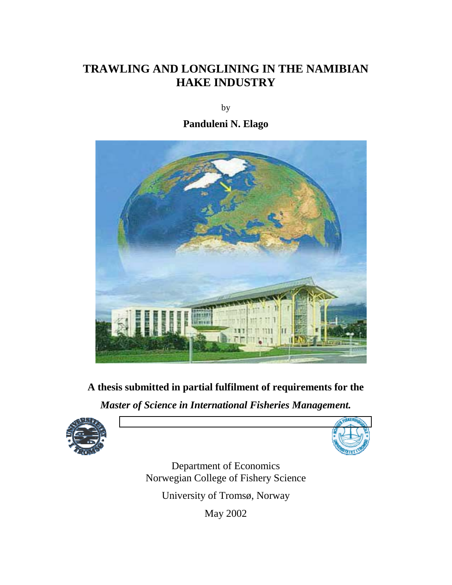# **TRAWLING AND LONGLINING IN THE NAMIBIAN HAKE INDUSTRY**

by

**Panduleni N. Elago** 



**A thesis submitted in partial fulfilment of requirements for the**  *Master of Science in International Fisheries Management.* 





Department of Economics Norwegian College of Fishery Science University of Tromsø, Norway May 2002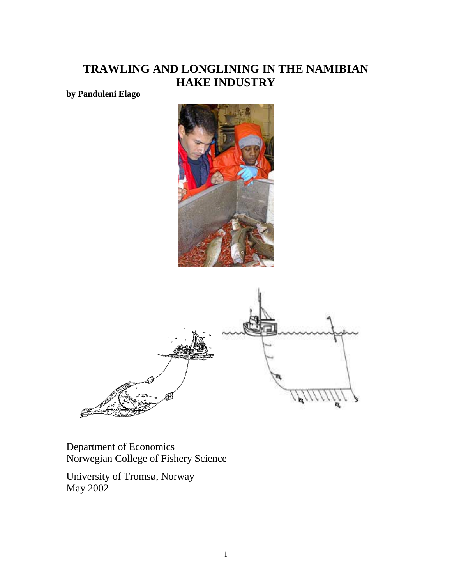## **TRAWLING AND LONGLINING IN THE NAMIBIAN HAKE INDUSTRY**

**by Panduleni Elago** 





Department of Economics Norwegian College of Fishery Science

University of Tromsø, Norway May 2002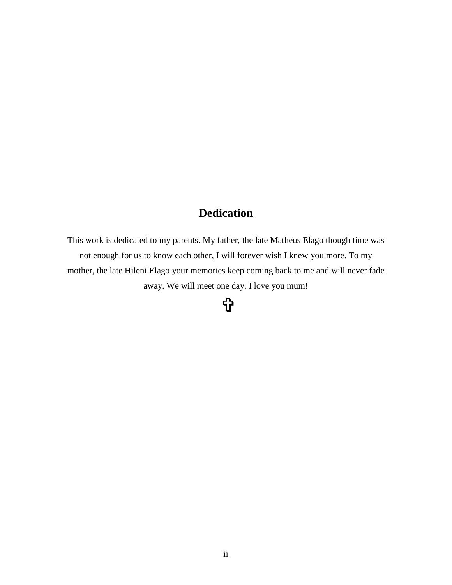### **Dedication**

This work is dedicated to my parents. My father, the late Matheus Elago though time was not enough for us to know each other, I will forever wish I knew you more. To my mother, the late Hileni Elago your memories keep coming back to me and will never fade away. We will meet one day. I love you mum!

# ✞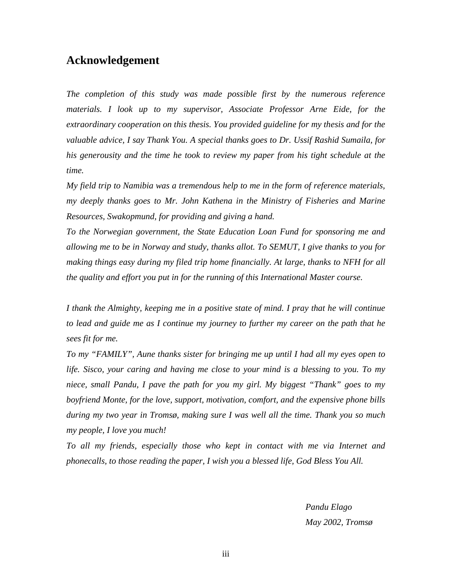### **Acknowledgement**

*The completion of this study was made possible first by the numerous reference materials. I look up to my supervisor, Associate Professor Arne Eide, for the extraordinary cooperation on this thesis. You provided guideline for my thesis and for the valuable advice, I say Thank You. A special thanks goes to Dr. Ussif Rashid Sumaila, for his generousity and the time he took to review my paper from his tight schedule at the time.* 

*My field trip to Namibia was a tremendous help to me in the form of reference materials, my deeply thanks goes to Mr. John Kathena in the Ministry of Fisheries and Marine Resources, Swakopmund, for providing and giving a hand.* 

*To the Norwegian government, the State Education Loan Fund for sponsoring me and allowing me to be in Norway and study, thanks allot. To SEMUT, I give thanks to you for*  making things easy during my filed trip home financially. At large, thanks to NFH for all *the quality and effort you put in for the running of this International Master course.* 

*I thank the Almighty, keeping me in a positive state of mind. I pray that he will continue to lead and guide me as I continue my journey to further my career on the path that he sees fit for me.* 

*To my "FAMILY", Aune thanks sister for bringing me up until I had all my eyes open to life. Sisco, your caring and having me close to your mind is a blessing to you. To my niece, small Pandu, I pave the path for you my girl. My biggest "Thank" goes to my boyfriend Monte, for the love, support, motivation, comfort, and the expensive phone bills during my two year in Tromsø, making sure I was well all the time. Thank you so much my people, I love you much!* 

*To all my friends, especially those who kept in contact with me via Internet and phonecalls, to those reading the paper, I wish you a blessed life, God Bless You All.* 

> *Pandu Elago May 2002, Tromsø*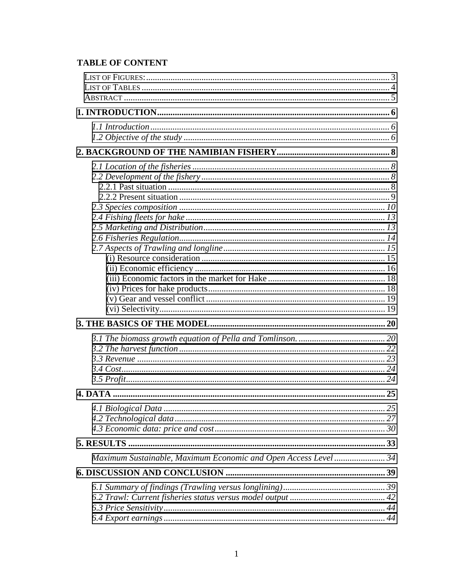### **TABLE OF CONTENT**

| Maximum Sustainable, Maximum Economic and Open Access Level 34 |  |
|----------------------------------------------------------------|--|
|                                                                |  |
|                                                                |  |
|                                                                |  |
|                                                                |  |
|                                                                |  |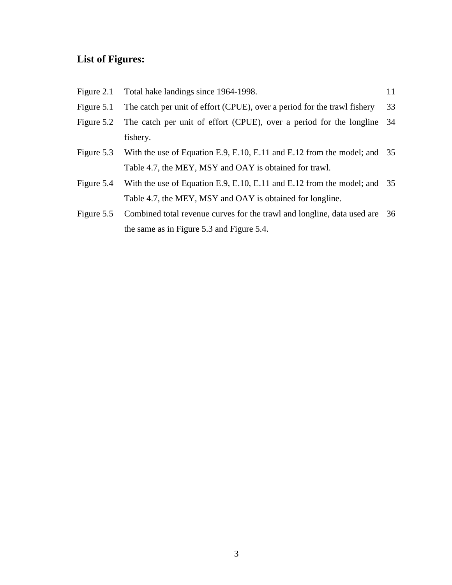### <span id="page-8-0"></span>**List of Figures:**

- Figure 2.1 Total hake landings since 1964-1998. 11
- Figure 5.1 The catch per unit of effort (CPUE), over a period for the trawl fishery 33
- Figure 5.2 The catch per unit of effort (CPUE), over a period for the longline 34 fishery.
- Figure 5.3 With the use of Equation E.9, E.10, E.11 and E.12 from the model; and 35 Table 4.7, the MEY, MSY and OAY is obtained for trawl.
- Figure 5.4 With the use of Equation E.9, E.10, E.11 and E.12 from the model; and 35 Table 4.7, the MEY, MSY and OAY is obtained for longline.
- Figure 5.5 Combined total revenue curves for the trawl and longline, data used are 36 the same as in Figure 5.3 and Figure 5.4.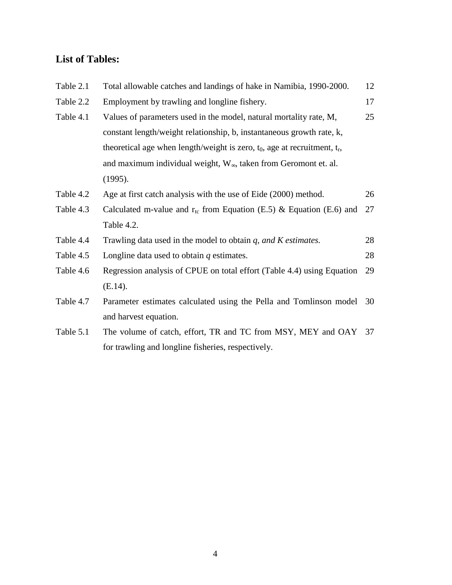### <span id="page-9-0"></span>**List of Tables:**

| Table 2.1 | Total allowable catches and landings of hake in Namibia, 1990-2000.             | 12 |
|-----------|---------------------------------------------------------------------------------|----|
| Table 2.2 | Employment by trawling and longline fishery.                                    | 17 |
| Table 4.1 | Values of parameters used in the model, natural mortality rate, M,              | 25 |
|           | constant length/weight relationship, b, instantaneous growth rate, k,           |    |
|           | theoretical age when length/weight is zero, $t_0$ , age at recruitment, $t_r$ , |    |
|           | and maximum individual weight, $W_{\infty}$ , taken from Geromont et. al.       |    |
|           | (1995).                                                                         |    |
| Table 4.2 | Age at first catch analysis with the use of Eide (2000) method.                 | 26 |
| Table 4.3 | Calculated m-value and $r_{tc}$ from Equation (E.5) & Equation (E.6) and        | 27 |
|           | Table 4.2.                                                                      |    |
| Table 4.4 | Trawling data used in the model to obtain $q$ , and $K$ estimates.              | 28 |
| Table 4.5 | Longline data used to obtain $q$ estimates.                                     | 28 |
| Table 4.6 | Regression analysis of CPUE on total effort (Table 4.4) using Equation          | 29 |
|           | $(E.14)$ .                                                                      |    |
| Table 4.7 | Parameter estimates calculated using the Pella and Tomlinson model              | 30 |
|           | and harvest equation.                                                           |    |
| Table 5.1 | The volume of catch, effort, TR and TC from MSY, MEY and OAY                    | 37 |
|           | for trawling and longline fisheries, respectively.                              |    |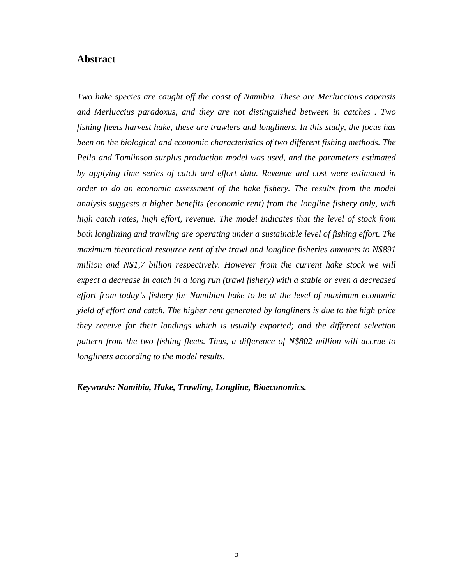#### <span id="page-10-0"></span>**Abstract**

*Two hake species are caught off the coast of Namibia. These are Merluccious capensis and Merluccius paradoxus, and they are not distinguished between in catches . Two fishing fleets harvest hake, these are trawlers and longliners. In this study, the focus has been on the biological and economic characteristics of two different fishing methods. The Pella and Tomlinson surplus production model was used, and the parameters estimated by applying time series of catch and effort data. Revenue and cost were estimated in order to do an economic assessment of the hake fishery. The results from the model analysis suggests a higher benefits (economic rent) from the longline fishery only, with high catch rates, high effort, revenue. The model indicates that the level of stock from both longlining and trawling are operating under a sustainable level of fishing effort. The maximum theoretical resource rent of the trawl and longline fisheries amounts to N\$891*  million and N\$1,7 billion respectively. However from the current hake stock we will *expect a decrease in catch in a long run (trawl fishery) with a stable or even a decreased effort from today's fishery for Namibian hake to be at the level of maximum economic yield of effort and catch. The higher rent generated by longliners is due to the high price they receive for their landings which is usually exported; and the different selection pattern from the two fishing fleets. Thus, a difference of N\$802 million will accrue to longliners according to the model results.* 

*Keywords: Namibia, Hake, Trawling, Longline, Bioeconomics.*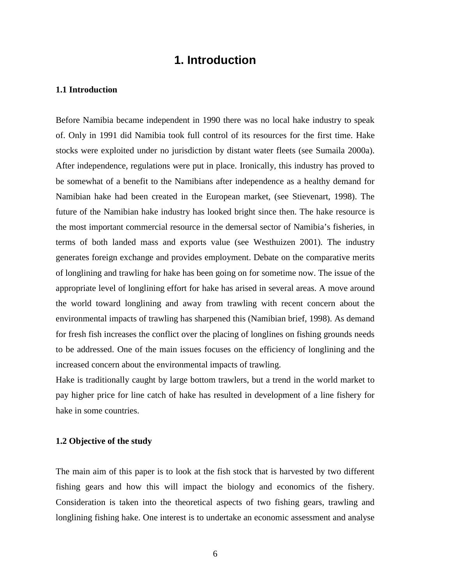### **1. Introduction**

#### <span id="page-11-0"></span>**1.1 Introduction**

Before Namibia became independent in 1990 there was no local hake industry to speak of. Only in 1991 did Namibia took full control of its resources for the first time. Hake stocks were exploited under no jurisdiction by distant water fleets (see Sumaila 2000a). After independence, regulations were put in place. Ironically, this industry has proved to be somewhat of a benefit to the Namibians after independence as a healthy demand for Namibian hake had been created in the European market, (see Stievenart, 1998). The future of the Namibian hake industry has looked bright since then. The hake resource is the most important commercial resource in the demersal sector of Namibia's fisheries, in terms of both landed mass and exports value (see Westhuizen 2001). The industry generates foreign exchange and provides employment. Debate on the comparative merits of longlining and trawling for hake has been going on for sometime now. The issue of the appropriate level of longlining effort for hake has arised in several areas. A move around the world toward longlining and away from trawling with recent concern about the environmental impacts of trawling has sharpened this (Namibian brief, 1998). As demand for fresh fish increases the conflict over the placing of longlines on fishing grounds needs to be addressed. One of the main issues focuses on the efficiency of longlining and the increased concern about the environmental impacts of trawling.

Hake is traditionally caught by large bottom trawlers, but a trend in the world market to pay higher price for line catch of hake has resulted in development of a line fishery for hake in some countries.

#### **1.2 Objective of the study**

The main aim of this paper is to look at the fish stock that is harvested by two different fishing gears and how this will impact the biology and economics of the fishery. Consideration is taken into the theoretical aspects of two fishing gears, trawling and longlining fishing hake. One interest is to undertake an economic assessment and analyse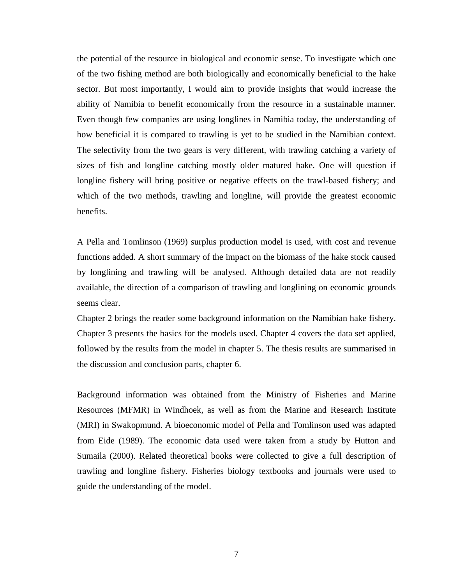the potential of the resource in biological and economic sense. To investigate which one of the two fishing method are both biologically and economically beneficial to the hake sector. But most importantly, I would aim to provide insights that would increase the ability of Namibia to benefit economically from the resource in a sustainable manner. Even though few companies are using longlines in Namibia today, the understanding of how beneficial it is compared to trawling is yet to be studied in the Namibian context. The selectivity from the two gears is very different, with trawling catching a variety of sizes of fish and longline catching mostly older matured hake. One will question if longline fishery will bring positive or negative effects on the trawl-based fishery; and which of the two methods, trawling and longline, will provide the greatest economic benefits.

A Pella and Tomlinson (1969) surplus production model is used, with cost and revenue functions added. A short summary of the impact on the biomass of the hake stock caused by longlining and trawling will be analysed. Although detailed data are not readily available, the direction of a comparison of trawling and longlining on economic grounds seems clear.

Chapter 2 brings the reader some background information on the Namibian hake fishery. Chapter 3 presents the basics for the models used. Chapter 4 covers the data set applied, followed by the results from the model in chapter 5. The thesis results are summarised in the discussion and conclusion parts, chapter 6.

Background information was obtained from the Ministry of Fisheries and Marine Resources (MFMR) in Windhoek, as well as from the Marine and Research Institute (MRI) in Swakopmund. A bioeconomic model of Pella and Tomlinson used was adapted from Eide (1989). The economic data used were taken from a study by Hutton and Sumaila (2000). Related theoretical books were collected to give a full description of trawling and longline fishery. Fisheries biology textbooks and journals were used to guide the understanding of the model.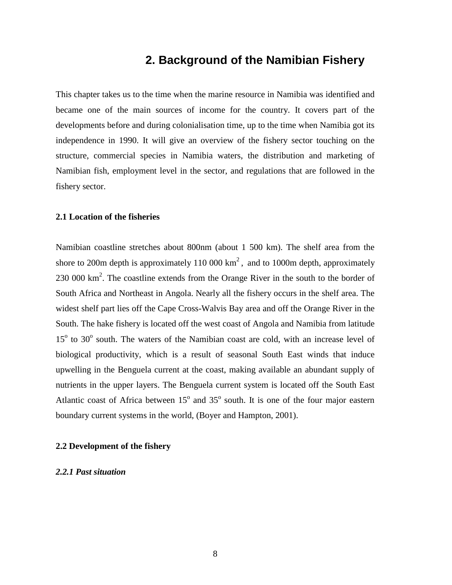### **2. Background of the Namibian Fishery**

<span id="page-13-0"></span>This chapter takes us to the time when the marine resource in Namibia was identified and became one of the main sources of income for the country. It covers part of the developments before and during colonialisation time, up to the time when Namibia got its independence in 1990. It will give an overview of the fishery sector touching on the structure, commercial species in Namibia waters, the distribution and marketing of Namibian fish, employment level in the sector, and regulations that are followed in the fishery sector.

#### **2.1 Location of the fisheries**

Namibian coastline stretches about 800nm (about 1 500 km). The shelf area from the shore to 200m depth is approximately 110 000  $km^2$ , and to 1000m depth, approximately  $230000 \text{ km}^2$ . The coastline extends from the Orange River in the south to the border of South Africa and Northeast in Angola. Nearly all the fishery occurs in the shelf area. The widest shelf part lies off the Cape Cross-Walvis Bay area and off the Orange River in the South. The hake fishery is located off the west coast of Angola and Namibia from latitude 15<sup>°</sup> to 30<sup>°</sup> south. The waters of the Namibian coast are cold, with an increase level of biological productivity, which is a result of seasonal South East winds that induce upwelling in the Benguela current at the coast, making available an abundant supply of nutrients in the upper layers. The Benguela current system is located off the South East Atlantic coast of Africa between  $15^{\circ}$  and  $35^{\circ}$  south. It is one of the four major eastern boundary current systems in the world, (Boyer and Hampton, 2001).

#### **2.2 Development of the fishery**

#### *2.2.1 Past situation*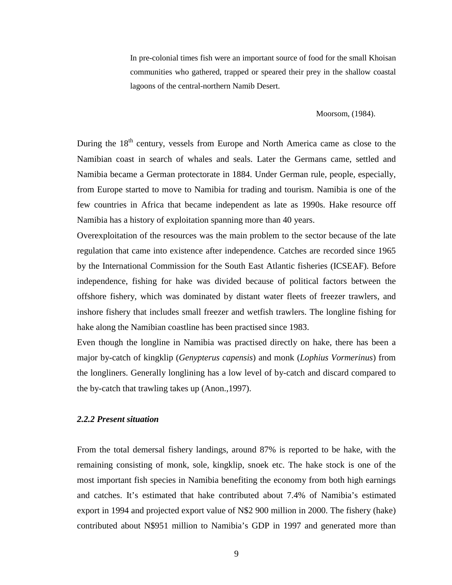<span id="page-14-0"></span>In pre-colonial times fish were an important source of food for the small Khoisan communities who gathered, trapped or speared their prey in the shallow coastal lagoons of the central-northern Namib Desert.

Moorsom, (1984).

During the 18<sup>th</sup> century, vessels from Europe and North America came as close to the Namibian coast in search of whales and seals. Later the Germans came, settled and Namibia became a German protectorate in 1884. Under German rule, people, especially, from Europe started to move to Namibia for trading and tourism. Namibia is one of the few countries in Africa that became independent as late as 1990s. Hake resource off Namibia has a history of exploitation spanning more than 40 years.

Overexploitation of the resources was the main problem to the sector because of the late regulation that came into existence after independence. Catches are recorded since 1965 by the International Commission for the South East Atlantic fisheries (ICSEAF). Before independence, fishing for hake was divided because of political factors between the offshore fishery, which was dominated by distant water fleets of freezer trawlers, and inshore fishery that includes small freezer and wetfish trawlers. The longline fishing for hake along the Namibian coastline has been practised since 1983.

Even though the longline in Namibia was practised directly on hake, there has been a major by-catch of kingklip (*Genypterus capensis*) and monk (*Lophius Vormerinus*) from the longliners. Generally longlining has a low level of by-catch and discard compared to the by-catch that trawling takes up (Anon.,1997).

#### *2.2.2 Present situation*

From the total demersal fishery landings, around 87% is reported to be hake, with the remaining consisting of monk, sole, kingklip, snoek etc. The hake stock is one of the most important fish species in Namibia benefiting the economy from both high earnings and catches. It's estimated that hake contributed about 7.4% of Namibia's estimated export in 1994 and projected export value of N\$2 900 million in 2000. The fishery (hake) contributed about N\$951 million to Namibia's GDP in 1997 and generated more than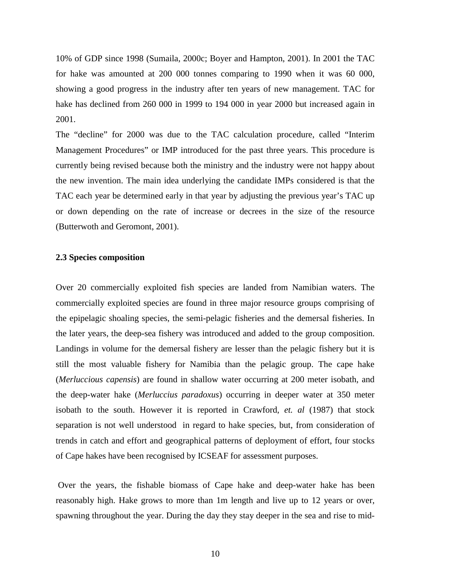<span id="page-15-0"></span>10% of GDP since 1998 (Sumaila, 2000c; Boyer and Hampton, 2001). In 2001 the TAC for hake was amounted at 200 000 tonnes comparing to 1990 when it was 60 000, showing a good progress in the industry after ten years of new management. TAC for hake has declined from 260 000 in 1999 to 194 000 in year 2000 but increased again in 2001.

The "decline" for 2000 was due to the TAC calculation procedure, called "Interim Management Procedures" or IMP introduced for the past three years. This procedure is currently being revised because both the ministry and the industry were not happy about the new invention. The main idea underlying the candidate IMPs considered is that the TAC each year be determined early in that year by adjusting the previous year's TAC up or down depending on the rate of increase or decrees in the size of the resource (Butterwoth and Geromont, 2001).

#### **2.3 Species composition**

Over 20 commercially exploited fish species are landed from Namibian waters. The commercially exploited species are found in three major resource groups comprising of the epipelagic shoaling species, the semi-pelagic fisheries and the demersal fisheries. In the later years, the deep-sea fishery was introduced and added to the group composition. Landings in volume for the demersal fishery are lesser than the pelagic fishery but it is still the most valuable fishery for Namibia than the pelagic group. The cape hake (*Merluccious capensis*) are found in shallow water occurring at 200 meter isobath, and the deep-water hake (*Merluccius paradoxus*) occurring in deeper water at 350 meter isobath to the south. However it is reported in Crawford, *et. al* (1987) that stock separation is not well understood in regard to hake species, but, from consideration of trends in catch and effort and geographical patterns of deployment of effort, four stocks of Cape hakes have been recognised by ICSEAF for assessment purposes.

 Over the years, the fishable biomass of Cape hake and deep-water hake has been reasonably high. Hake grows to more than 1m length and live up to 12 years or over, spawning throughout the year. During the day they stay deeper in the sea and rise to mid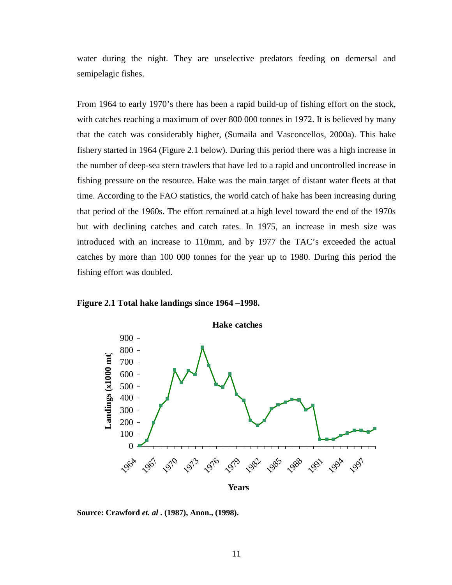water during the night. They are unselective predators feeding on demersal and semipelagic fishes.

From 1964 to early 1970's there has been a rapid build-up of fishing effort on the stock, with catches reaching a maximum of over 800 000 tonnes in 1972. It is believed by many that the catch was considerably higher, (Sumaila and Vasconcellos, 2000a). This hake fishery started in 1964 (Figure 2.1 below). During this period there was a high increase in the number of deep-sea stern trawlers that have led to a rapid and uncontrolled increase in fishing pressure on the resource. Hake was the main target of distant water fleets at that time. According to the FAO statistics, the world catch of hake has been increasing during that period of the 1960s. The effort remained at a high level toward the end of the 1970s but with declining catches and catch rates. In 1975, an increase in mesh size was introduced with an increase to 110mm, and by 1977 the TAC's exceeded the actual catches by more than 100 000 tonnes for the year up to 1980. During this period the fishing effort was doubled.





**Source: Crawford** *et. al* **. (1987), Anon., (1998).**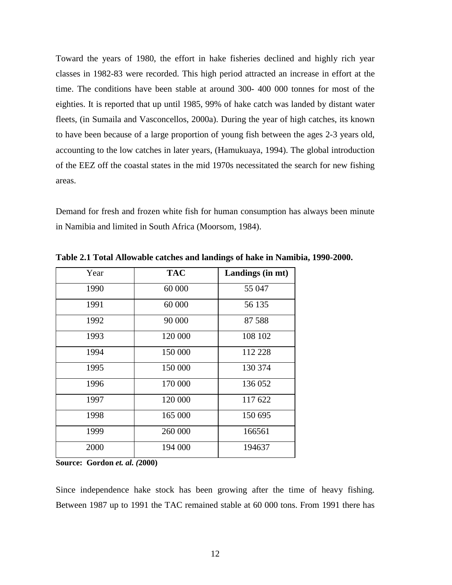Toward the years of 1980, the effort in hake fisheries declined and highly rich year classes in 1982-83 were recorded. This high period attracted an increase in effort at the time. The conditions have been stable at around 300- 400 000 tonnes for most of the eighties. It is reported that up until 1985, 99% of hake catch was landed by distant water fleets, (in Sumaila and Vasconcellos, 2000a). During the year of high catches, its known to have been because of a large proportion of young fish between the ages 2-3 years old, accounting to the low catches in later years, (Hamukuaya, 1994). The global introduction of the EEZ off the coastal states in the mid 1970s necessitated the search for new fishing areas.

Demand for fresh and frozen white fish for human consumption has always been minute in Namibia and limited in South Africa (Moorsom, 1984).

| Year | <b>TAC</b> | Landings (in mt) |
|------|------------|------------------|
| 1990 | 60 000     | 55 047           |
| 1991 | 60 000     | 56 135           |
| 1992 | 90 000     | 87 588           |
| 1993 | 120 000    | 108 102          |
| 1994 | 150 000    | 112 228          |
| 1995 | 150 000    | 130 374          |
| 1996 | 170 000    | 136 052          |
| 1997 | 120 000    | 117 622          |
| 1998 | 165 000    | 150 695          |
| 1999 | 260 000    | 166561           |
| 2000 | 194 000    | 194637           |

**Table 2.1 Total Allowable catches and landings of hake in Namibia, 1990-2000.**

**Source: Gordon** *et. al. (***2000)** 

Since independence hake stock has been growing after the time of heavy fishing. Between 1987 up to 1991 the TAC remained stable at 60 000 tons. From 1991 there has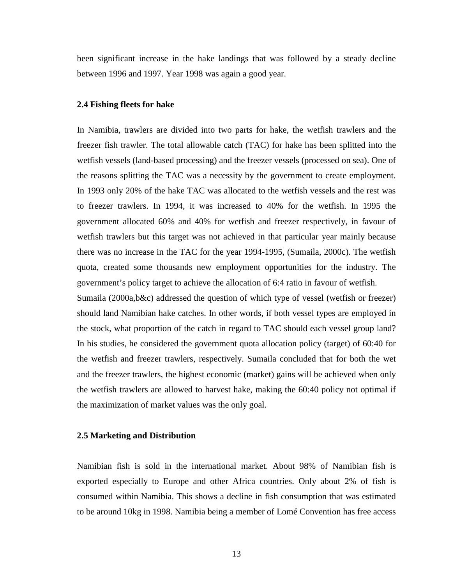<span id="page-18-0"></span>been significant increase in the hake landings that was followed by a steady decline between 1996 and 1997. Year 1998 was again a good year.

#### **2.4 Fishing fleets for hake**

In Namibia, trawlers are divided into two parts for hake, the wetfish trawlers and the freezer fish trawler. The total allowable catch (TAC) for hake has been splitted into the wetfish vessels (land-based processing) and the freezer vessels (processed on sea). One of the reasons splitting the TAC was a necessity by the government to create employment. In 1993 only 20% of the hake TAC was allocated to the wetfish vessels and the rest was to freezer trawlers. In 1994, it was increased to 40% for the wetfish. In 1995 the government allocated 60% and 40% for wetfish and freezer respectively, in favour of wetfish trawlers but this target was not achieved in that particular year mainly because there was no increase in the TAC for the year 1994-1995, (Sumaila, 2000c). The wetfish quota, created some thousands new employment opportunities for the industry. The government's policy target to achieve the allocation of 6:4 ratio in favour of wetfish.

Sumaila (2000a,b&c) addressed the question of which type of vessel (wetfish or freezer) should land Namibian hake catches. In other words, if both vessel types are employed in the stock, what proportion of the catch in regard to TAC should each vessel group land? In his studies, he considered the government quota allocation policy (target) of 60:40 for the wetfish and freezer trawlers, respectively. Sumaila concluded that for both the wet and the freezer trawlers, the highest economic (market) gains will be achieved when only the wetfish trawlers are allowed to harvest hake, making the 60:40 policy not optimal if the maximization of market values was the only goal.

#### **2.5 Marketing and Distribution**

Namibian fish is sold in the international market. About 98% of Namibian fish is exported especially to Europe and other Africa countries. Only about 2% of fish is consumed within Namibia. This shows a decline in fish consumption that was estimated to be around 10kg in 1998. Namibia being a member of Lomé Convention has free access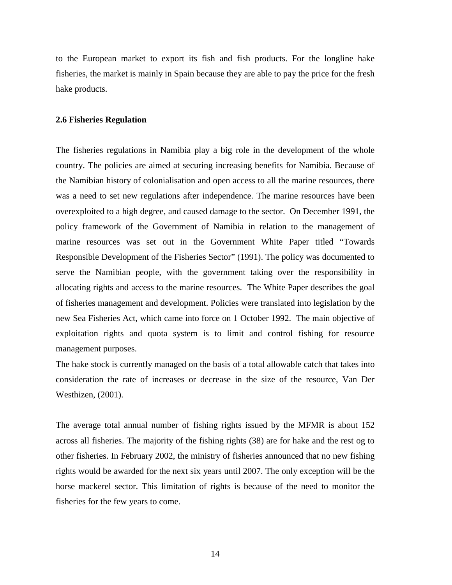<span id="page-19-0"></span>to the European market to export its fish and fish products. For the longline hake fisheries, the market is mainly in Spain because they are able to pay the price for the fresh hake products.

#### **2.6 Fisheries Regulation**

The fisheries regulations in Namibia play a big role in the development of the whole country. The policies are aimed at securing increasing benefits for Namibia. Because of the Namibian history of colonialisation and open access to all the marine resources, there was a need to set new regulations after independence. The marine resources have been overexploited to a high degree, and caused damage to the sector. On December 1991, the policy framework of the Government of Namibia in relation to the management of marine resources was set out in the Government White Paper titled "Towards Responsible Development of the Fisheries Sector" (1991). The policy was documented to serve the Namibian people, with the government taking over the responsibility in allocating rights and access to the marine resources. The White Paper describes the goal of fisheries management and development. Policies were translated into legislation by the new Sea Fisheries Act, which came into force on 1 October 1992. The main objective of exploitation rights and quota system is to limit and control fishing for resource management purposes.

The hake stock is currently managed on the basis of a total allowable catch that takes into consideration the rate of increases or decrease in the size of the resource, Van Der Westhizen, (2001).

The average total annual number of fishing rights issued by the MFMR is about 152 across all fisheries. The majority of the fishing rights (38) are for hake and the rest og to other fisheries. In February 2002, the ministry of fisheries announced that no new fishing rights would be awarded for the next six years until 2007. The only exception will be the horse mackerel sector. This limitation of rights is because of the need to monitor the fisheries for the few years to come.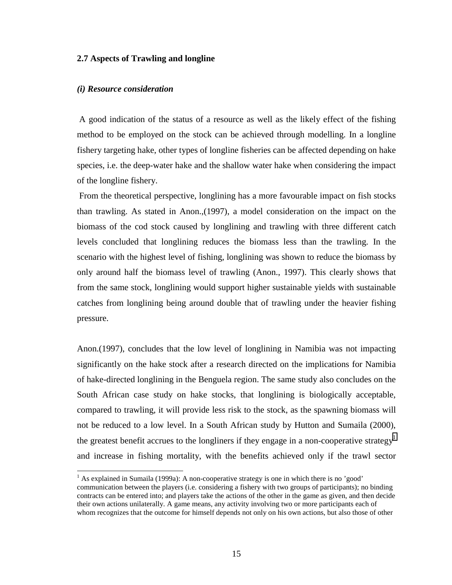#### <span id="page-20-0"></span>**2.7 Aspects of Trawling and longline**

#### *(i) Resource consideration*

l

 A good indication of the status of a resource as well as the likely effect of the fishing method to be employed on the stock can be achieved through modelling. In a longline fishery targeting hake, other types of longline fisheries can be affected depending on hake species, i.e. the deep-water hake and the shallow water hake when considering the impact of the longline fishery.

 From the theoretical perspective, longlining has a more favourable impact on fish stocks than trawling. As stated in Anon.,(1997), a model consideration on the impact on the biomass of the cod stock caused by longlining and trawling with three different catch levels concluded that longlining reduces the biomass less than the trawling. In the scenario with the highest level of fishing, longlining was shown to reduce the biomass by only around half the biomass level of trawling (Anon., 1997). This clearly shows that from the same stock, longlining would support higher sustainable yields with sustainable catches from longlining being around double that of trawling under the heavier fishing pressure.

Anon.(1997), concludes that the low level of longlining in Namibia was not impacting significantly on the hake stock after a research directed on the implications for Namibia of hake-directed longlining in the Benguela region. The same study also concludes on the South African case study on hake stocks, that longlining is biologically acceptable, compared to trawling, it will provide less risk to the stock, as the spawning biomass will not be reduced to a low level. In a South African study by Hutton and Sumaila (2000), the greatest benefit accrues to the longliners if they engage in a non-cooperative strategy<sup>1</sup> and increase in fishing mortality, with the benefits achieved only if the trawl sector

 $<sup>1</sup>$  As explained in Sumaila (1999a): A non-cooperative strategy is one in which there is no 'good'</sup> communication between the players (i.e. considering a fishery with two groups of participants); no binding contracts can be entered into; and players take the actions of the other in the game as given, and then decide their own actions unilaterally. A game means, any activity involving two or more participants each of whom recognizes that the outcome for himself depends not only on his own actions, but also those of other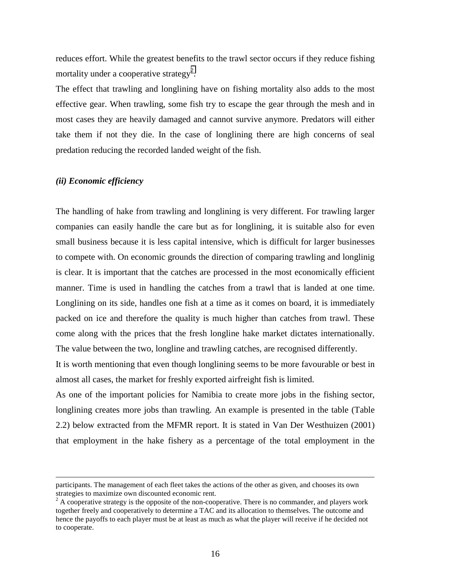<span id="page-21-0"></span>reduces effort. While the greatest benefits to the trawl sector occurs if they reduce fishing mortality under a cooperative strategy<sup>2</sup>.

The effect that trawling and longlining have on fishing mortality also adds to the most effective gear. When trawling, some fish try to escape the gear through the mesh and in most cases they are heavily damaged and cannot survive anymore. Predators will either take them if not they die. In the case of longlining there are high concerns of seal predation reducing the recorded landed weight of the fish.

#### *(ii) Economic efficiency*

l

The handling of hake from trawling and longlining is very different. For trawling larger companies can easily handle the care but as for longlining, it is suitable also for even small business because it is less capital intensive, which is difficult for larger businesses to compete with. On economic grounds the direction of comparing trawling and longlinig is clear. It is important that the catches are processed in the most economically efficient manner. Time is used in handling the catches from a trawl that is landed at one time. Longlining on its side, handles one fish at a time as it comes on board, it is immediately packed on ice and therefore the quality is much higher than catches from trawl. These come along with the prices that the fresh longline hake market dictates internationally. The value between the two, longline and trawling catches, are recognised differently.

It is worth mentioning that even though longlining seems to be more favourable or best in almost all cases, the market for freshly exported airfreight fish is limited.

As one of the important policies for Namibia to create more jobs in the fishing sector, longlining creates more jobs than trawling. An example is presented in the table (Table 2.2) below extracted from the MFMR report. It is stated in Van Der Westhuizen (2001) that employment in the hake fishery as a percentage of the total employment in the

participants. The management of each fleet takes the actions of the other as given, and chooses its own strategies to maximize own discounted economic rent.

 $2^2$  A cooperative strategy is the opposite of the non-cooperative. There is no commander, and players work together freely and cooperatively to determine a TAC and its allocation to themselves. The outcome and hence the payoffs to each player must be at least as much as what the player will receive if he decided not to cooperate.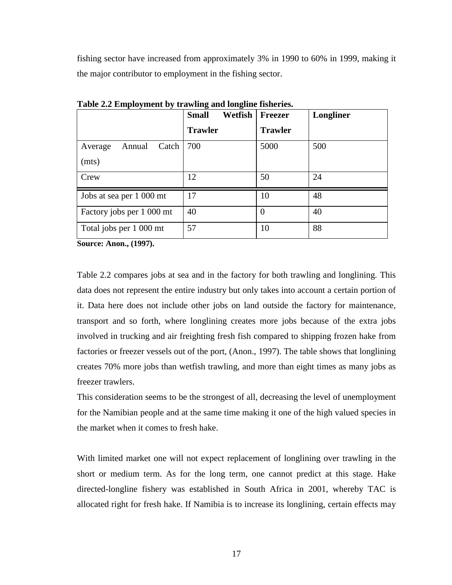fishing sector have increased from approximately 3% in 1990 to 60% in 1999, making it the major contributor to employment in the fishing sector.

|                            | <b>Small</b><br>Wetfish | <b>Freezer</b> | Longliner |
|----------------------------|-------------------------|----------------|-----------|
|                            | <b>Trawler</b>          | <b>Trawler</b> |           |
| Annual<br>Catch<br>Average | 700                     | 5000           | 500       |
| (mts)                      |                         |                |           |
| Crew                       | 12                      | 50             | 24        |
| Jobs at sea per 1 000 mt   | 17                      | 10             | 48        |
| Factory jobs per 1 000 mt  | 40                      | $\theta$       | 40        |
| Total jobs per 1 000 mt    | 57                      | 10             | 88        |

**Table 2.2 Employment by trawling and longline fisheries.** 

**Source: Anon., (1997).** 

Table 2.2 compares jobs at sea and in the factory for both trawling and longlining. This data does not represent the entire industry but only takes into account a certain portion of it. Data here does not include other jobs on land outside the factory for maintenance, transport and so forth, where longlining creates more jobs because of the extra jobs involved in trucking and air freighting fresh fish compared to shipping frozen hake from factories or freezer vessels out of the port, (Anon., 1997). The table shows that longlining creates 70% more jobs than wetfish trawling, and more than eight times as many jobs as freezer trawlers.

This consideration seems to be the strongest of all, decreasing the level of unemployment for the Namibian people and at the same time making it one of the high valued species in the market when it comes to fresh hake.

With limited market one will not expect replacement of longlining over trawling in the short or medium term. As for the long term, one cannot predict at this stage. Hake directed-longline fishery was established in South Africa in 2001, whereby TAC is allocated right for fresh hake. If Namibia is to increase its longlining, certain effects may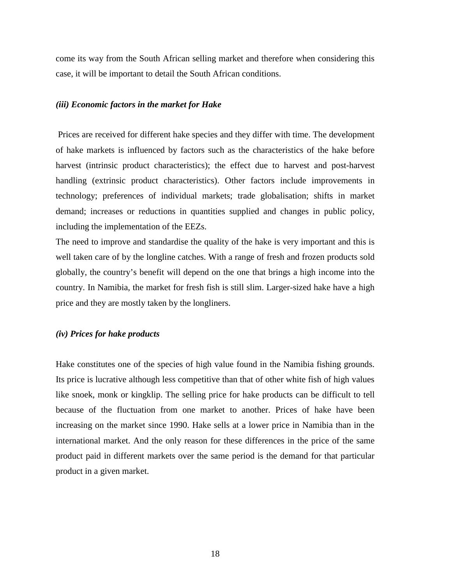<span id="page-23-0"></span>come its way from the South African selling market and therefore when considering this case, it will be important to detail the South African conditions.

#### *(iii) Economic factors in the market for Hake*

 Prices are received for different hake species and they differ with time. The development of hake markets is influenced by factors such as the characteristics of the hake before harvest (intrinsic product characteristics); the effect due to harvest and post-harvest handling (extrinsic product characteristics). Other factors include improvements in technology; preferences of individual markets; trade globalisation; shifts in market demand; increases or reductions in quantities supplied and changes in public policy, including the implementation of the EEZs.

The need to improve and standardise the quality of the hake is very important and this is well taken care of by the longline catches. With a range of fresh and frozen products sold globally, the country's benefit will depend on the one that brings a high income into the country. In Namibia, the market for fresh fish is still slim. Larger-sized hake have a high price and they are mostly taken by the longliners.

#### *(iv) Prices for hake products*

Hake constitutes one of the species of high value found in the Namibia fishing grounds. Its price is lucrative although less competitive than that of other white fish of high values like snoek, monk or kingklip. The selling price for hake products can be difficult to tell because of the fluctuation from one market to another. Prices of hake have been increasing on the market since 1990. Hake sells at a lower price in Namibia than in the international market. And the only reason for these differences in the price of the same product paid in different markets over the same period is the demand for that particular product in a given market.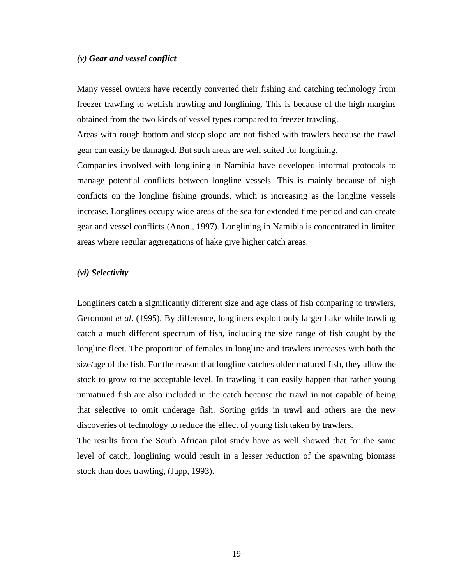#### <span id="page-24-0"></span>*(v) Gear and vessel conflict*

Many vessel owners have recently converted their fishing and catching technology from freezer trawling to wetfish trawling and longlining. This is because of the high margins obtained from the two kinds of vessel types compared to freezer trawling.

Areas with rough bottom and steep slope are not fished with trawlers because the trawl gear can easily be damaged. But such areas are well suited for longlining.

Companies involved with longlining in Namibia have developed informal protocols to manage potential conflicts between longline vessels. This is mainly because of high conflicts on the longline fishing grounds, which is increasing as the longline vessels increase. Longlines occupy wide areas of the sea for extended time period and can create gear and vessel conflicts (Anon., 1997). Longlining in Namibia is concentrated in limited areas where regular aggregations of hake give higher catch areas.

#### *(vi) Selectivity*

Longliners catch a significantly different size and age class of fish comparing to trawlers, Geromont *et al*. (1995). By difference, longliners exploit only larger hake while trawling catch a much different spectrum of fish, including the size range of fish caught by the longline fleet. The proportion of females in longline and trawlers increases with both the size/age of the fish. For the reason that longline catches older matured fish, they allow the stock to grow to the acceptable level. In trawling it can easily happen that rather young unmatured fish are also included in the catch because the trawl in not capable of being that selective to omit underage fish. Sorting grids in trawl and others are the new discoveries of technology to reduce the effect of young fish taken by trawlers.

The results from the South African pilot study have as well showed that for the same level of catch, longlining would result in a lesser reduction of the spawning biomass stock than does trawling, (Japp, 1993).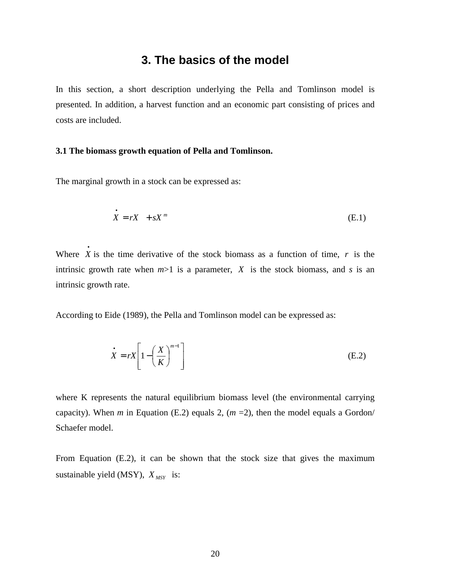### **3. The basics of the model**

<span id="page-25-0"></span>In this section, a short description underlying the Pella and Tomlinson model is presented. In addition, a harvest function and an economic part consisting of prices and costs are included.

#### **3.1 The biomass growth equation of Pella and Tomlinson.**

The marginal growth in a stock can be expressed as:

$$
\dot{X} = rX + sX^{m}
$$
 (E.1)

Where  $\dot{X}$  is the time derivative of the stock biomass as a function of time,  $r$  is the intrinsic growth rate when  $m>1$  is a parameter, *X* is the stock biomass, and *s* is an intrinsic growth rate.

According to Eide (1989), the Pella and Tomlinson model can be expressed as:

$$
\mathbf{\dot{X}} = r\mathbf{X} \left[ 1 - \left( \frac{\mathbf{X}}{K} \right)^{m-1} \right] \tag{E.2}
$$

where K represents the natural equilibrium biomass level (the environmental carrying capacity). When *m* in Equation (E.2) equals 2,  $(m = 2)$ , then the model equals a Gordon/ Schaefer model.

From Equation (E.2), it can be shown that the stock size that gives the maximum sustainable yield (MSY),  $X_{MSY}$  is: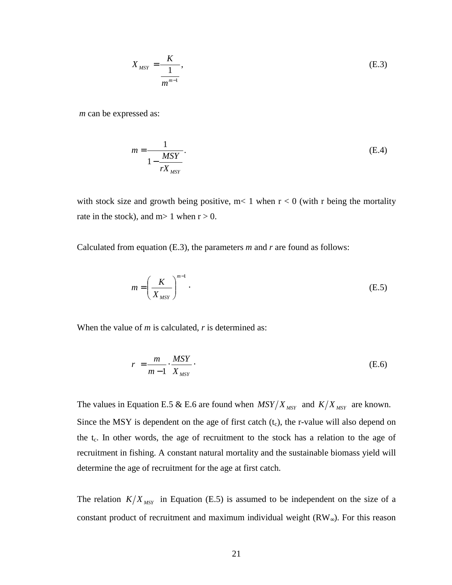$$
X_{MSY} = \frac{K}{\frac{1}{m^{m-1}}},\tag{E.3}
$$

*m* can be expressed as:

$$
m = \frac{1}{1 - \frac{MSY}{rX_{MSY}}}.
$$
\n(E.4)

with stock size and growth being positive,  $m < 1$  when  $r < 0$  (with r being the mortality rate in the stock), and  $m>1$  when  $r>0$ .

Calculated from equation (E.3), the parameters *m* and *r* are found as follows:

$$
m = \left(\frac{K}{X_{MST}}\right)^{m-1}.
$$
\n(E.5)

When the value of *m* is calculated, *r* is determined as:

$$
r = \frac{m}{m-1} \cdot \frac{MSY}{X_{MSY}}.
$$
\n(E.6)

The values in Equation E.5 & E.6 are found when  $MSY/X_{MSY}$  and  $K/X_{MSY}$  are known. Since the MSY is dependent on the age of first catch  $(t_c)$ , the r-value will also depend on the t<sub>c</sub>. In other words, the age of recruitment to the stock has a relation to the age of recruitment in fishing. A constant natural mortality and the sustainable biomass yield will determine the age of recruitment for the age at first catch.

The relation  $K/X_{MSY}$  in Equation (E.5) is assumed to be independent on the size of a constant product of recruitment and maximum individual weight (RW∞). For this reason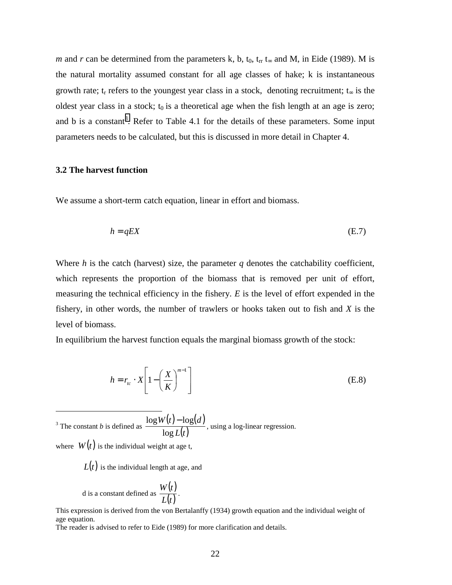<span id="page-27-0"></span>*m* and *r* can be determined from the parameters k, b, t<sub>0</sub>, t<sub>rr</sub> t<sub>∞</sub> and M, in Eide (1989). M is the natural mortality assumed constant for all age classes of hake; k is instantaneous growth rate; t<sub>r</sub> refers to the youngest year class in a stock, denoting recruitment; t<sub>∞</sub> is the oldest year class in a stock;  $t_0$  is a theoretical age when the fish length at an age is zero; and b is a constant<sup>3</sup>. Refer to Table 4.1 for the details of these parameters. Some input parameters needs to be calculated, but this is discussed in more detail in Chapter 4.

#### **3.2 The harvest function**

We assume a short-term catch equation, linear in effort and biomass.

$$
h = qEX
$$
 (E.7)

Where  $h$  is the catch (harvest) size, the parameter  $q$  denotes the catchability coefficient, which represents the proportion of the biomass that is removed per unit of effort, measuring the technical efficiency in the fishery. *E* is the level of effort expended in the fishery, in other words, the number of trawlers or hooks taken out to fish and *X* is the level of biomass.

In equilibrium the harvest function equals the marginal biomass growth of the stock:

$$
h = r_{ic} \cdot X \left[ 1 - \left(\frac{X}{K}\right)^{m-1} \right]
$$
 (E.8)

<sup>3</sup> The constant *b* is defined as  $\frac{\log W(t) - \log(d)}{1 - \log(t)}$  $L(t)$  $W(t) - \log(d)$ log  $\frac{\log W(t) - \log(d)}{\log W(t)}$ , using a log-linear regression.

where  $W(t)$  is the individual weight at age t,

l

 $L(t)$  is the individual length at age, and

d is a constant defined as 
$$
\frac{W(t)}{L(t)}
$$
.

This expression is derived from the von Bertalanffy (1934) growth equation and the individual weight of age equation.

The reader is advised to refer to Eide (1989) for more clarification and details.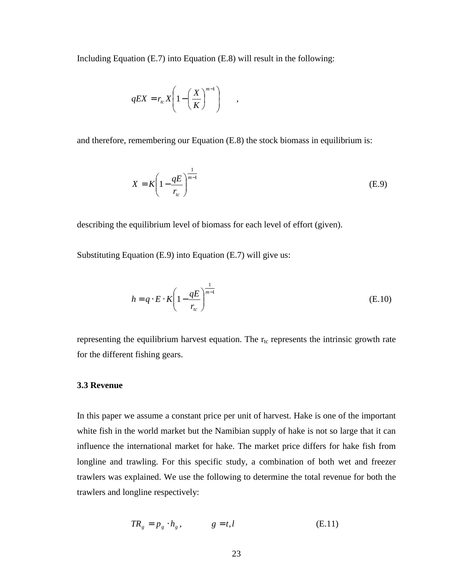<span id="page-28-0"></span>Including Equation (E.7) into Equation (E.8) will result in the following:

$$
qEX = r_{ic} X \left( 1 - \left(\frac{X}{K}\right)^{m-1} \right) ,
$$

and therefore, remembering our Equation (E.8) the stock biomass in equilibrium is:

$$
X = K \left( 1 - \frac{qE}{r_{tc}} \right)^{\frac{1}{m-1}}
$$
(E.9)

describing the equilibrium level of biomass for each level of effort (given).

Substituting Equation (E.9) into Equation (E.7) will give us:

$$
h = q \cdot E \cdot K \left( 1 - \frac{qE}{r_{tc}} \right)^{\frac{1}{m-1}}
$$
(E.10)

representing the equilibrium harvest equation. The  $r_{tc}$  represents the intrinsic growth rate for the different fishing gears.

#### **3.3 Revenue**

In this paper we assume a constant price per unit of harvest. Hake is one of the important white fish in the world market but the Namibian supply of hake is not so large that it can influence the international market for hake. The market price differs for hake fish from longline and trawling. For this specific study, a combination of both wet and freezer trawlers was explained. We use the following to determine the total revenue for both the trawlers and longline respectively:

$$
TR_g = p_g \cdot h_g, \qquad g = t, l \tag{E.11}
$$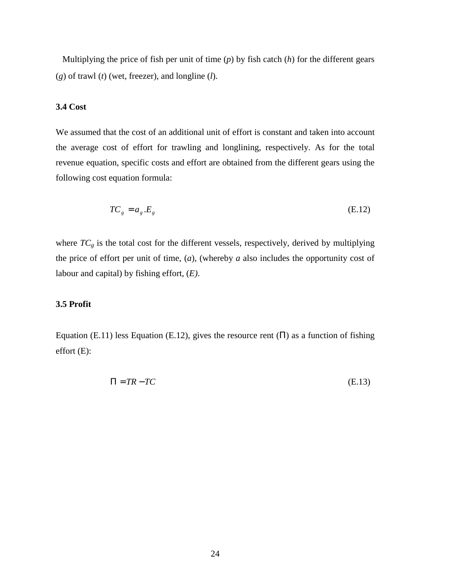<span id="page-29-0"></span>Multiplying the price of fish per unit of time (*p*) by fish catch (*h*) for the different gears (*g*) of trawl (*t*) (wet, freezer), and longline (*l*).

#### **3.4 Cost**

We assumed that the cost of an additional unit of effort is constant and taken into account the average cost of effort for trawling and longlining, respectively. As for the total revenue equation, specific costs and effort are obtained from the different gears using the following cost equation formula:

$$
TC_{g} = a_{g}.E_{g}
$$
 (E.12)

where  $TC_g$  is the total cost for the different vessels, respectively, derived by multiplying the price of effort per unit of time, (*a*), (whereby *a* also includes the opportunity cost of labour and capital) by fishing effort, (*E)*.

#### **3.5 Profit**

Equation (E.11) less Equation (E.12), gives the resource rent  $(\Pi)$  as a function of fishing effort (E):

$$
\Pi = TR - TC \tag{E.13}
$$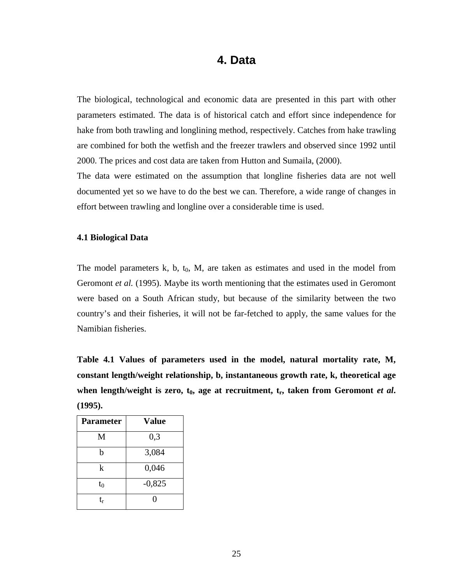### **4. Data**

<span id="page-30-0"></span>The biological, technological and economic data are presented in this part with other parameters estimated. The data is of historical catch and effort since independence for hake from both trawling and longlining method, respectively. Catches from hake trawling are combined for both the wetfish and the freezer trawlers and observed since 1992 until 2000. The prices and cost data are taken from Hutton and Sumaila, (2000).

The data were estimated on the assumption that longline fisheries data are not well documented yet so we have to do the best we can. Therefore, a wide range of changes in effort between trawling and longline over a considerable time is used.

#### **4.1 Biological Data**

The model parameters  $k$ ,  $b$ ,  $t_0$ ,  $M$ , are taken as estimates and used in the model from Geromont *et al.* (1995). Maybe its worth mentioning that the estimates used in Geromont were based on a South African study, but because of the similarity between the two country's and their fisheries, it will not be far-fetched to apply, the same values for the Namibian fisheries.

**Table 4.1 Values of parameters used in the model, natural mortality rate, M, constant length/weight relationship, b, instantaneous growth rate, k, theoretical age**  when length/weight is zero,  $t_0$ , age at recruitment,  $t_r$ , taken from Geromont *et al*. **(1995).** 

| <b>Parameter</b> | <b>Value</b> |
|------------------|--------------|
| M                | 0,3          |
| h                | 3,084        |
| k                | 0,046        |
| t0               | $-0,825$     |
| t,               |              |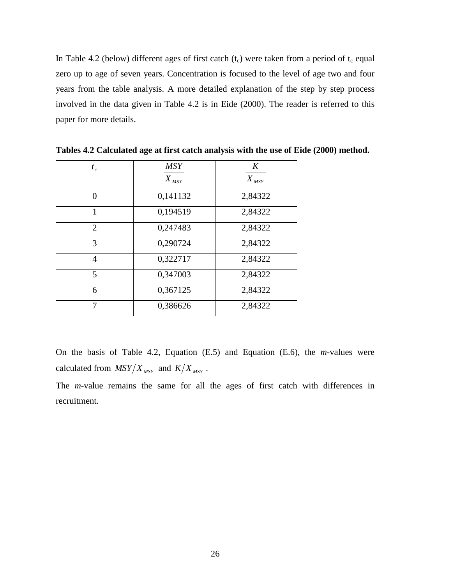In Table 4.2 (below) different ages of first catch  $(t_c)$  were taken from a period of  $t_c$  equal zero up to age of seven years. Concentration is focused to the level of age two and four years from the table analysis. A more detailed explanation of the step by step process involved in the data given in Table 4.2 is in Eide (2000). The reader is referred to this paper for more details.

| $t_c$          | <b>MSY</b><br>$X_{MSY}$ | K<br>$X_{MSY}$ |
|----------------|-------------------------|----------------|
| $\theta$       | 0,141132                | 2,84322        |
| 1              | 0,194519                | 2,84322        |
| $\overline{2}$ | 0,247483                | 2,84322        |
| 3              | 0,290724                | 2,84322        |
| 4              | 0,322717                | 2,84322        |
| 5              | 0,347003                | 2,84322        |
| 6              | 0,367125                | 2,84322        |
| 7              | 0,386626                | 2,84322        |

**Tables 4.2 Calculated age at first catch analysis with the use of Eide (2000) method.** 

On the basis of Table 4.2, Equation (E.5) and Equation (E.6), the *m*-values were calculated from  $MSY/X_{MSY}$  and  $K/X_{MSY}$ .

The *m*-value remains the same for all the ages of first catch with differences in recruitment.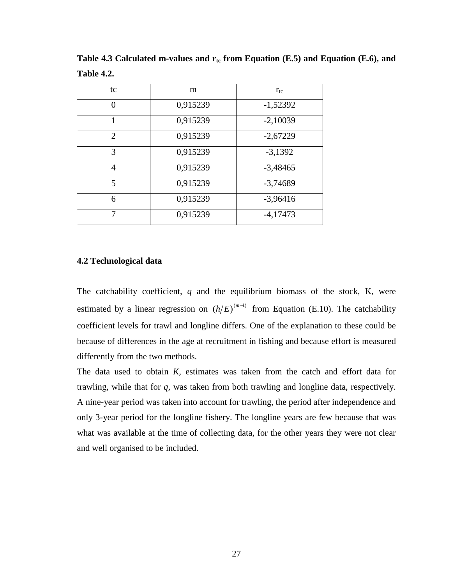| tc                          | m        | $r_{\rm tc}$ |
|-----------------------------|----------|--------------|
| 0                           | 0,915239 | $-1,52392$   |
|                             | 0,915239 | $-2,10039$   |
| $\mathcal{D}_{\mathcal{L}}$ | 0,915239 | $-2,67229$   |
| 3                           | 0,915239 | $-3,1392$    |
| 4                           | 0,915239 | $-3,48465$   |
| 5                           | 0,915239 | $-3,74689$   |
| 6                           | 0,915239 | $-3,96416$   |
|                             | 0,915239 | $-4,17473$   |

<span id="page-32-0"></span>Table 4.3 Calculated m-values and  $r_{tc}$  from Equation (E.5) and Equation (E.6), and **Table 4.2.** 

#### **4.2 Technological data**

The catchability coefficient, *q* and the equilibrium biomass of the stock, K, were estimated by a linear regression on  $(h/E)^{(m-1)}$  from Equation (E.10). The catchability coefficient levels for trawl and longline differs. One of the explanation to these could be because of differences in the age at recruitment in fishing and because effort is measured differently from the two methods.

The data used to obtain *K,* estimates was taken from the catch and effort data for trawling, while that for *q,* was taken from both trawling and longline data, respectively. A nine-year period was taken into account for trawling, the period after independence and only 3-year period for the longline fishery. The longline years are few because that was what was available at the time of collecting data, for the other years they were not clear and well organised to be included.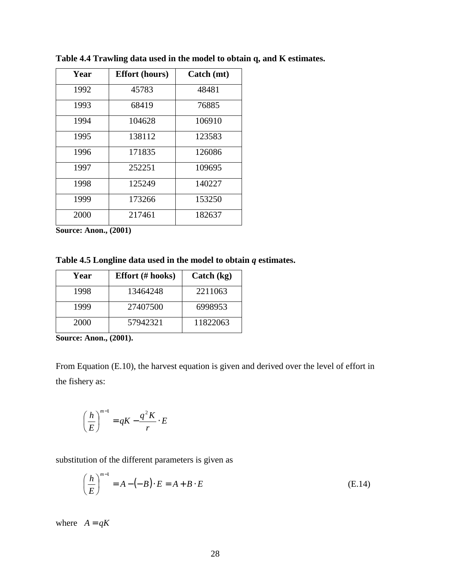| Year | <b>Effort</b> (hours) | Catch (mt) |
|------|-----------------------|------------|
| 1992 | 45783                 | 48481      |
| 1993 | 68419                 | 76885      |
| 1994 | 104628                | 106910     |
| 1995 | 138112                | 123583     |
| 1996 | 171835                | 126086     |
| 1997 | 252251                | 109695     |
| 1998 | 125249                | 140227     |
| 1999 | 173266                | 153250     |
| 2000 | 217461                | 182637     |

**Table 4.4 Trawling data used in the model to obtain q, and K estimates.** 

**Source: Anon., (2001)** 

**Table 4.5 Longline data used in the model to obtain** *q* **estimates.** 

| Year | <b>Effort</b> (# hooks) | Catch $(kg)$ |
|------|-------------------------|--------------|
| 1998 | 13464248                | 2211063      |
| 1999 | 27407500                | 6998953      |
| 2000 | 57942321                | 11822063     |

**Source: Anon., (2001).** 

From Equation (E.10), the harvest equation is given and derived over the level of effort in the fishery as:

$$
\left(\frac{h}{E}\right)^{m-1} = qK - \frac{q^2K}{r} \cdot E
$$

substitution of the different parameters is given as

$$
\left(\frac{h}{E}\right)^{m-1} = A - (-B) \cdot E = A + B \cdot E \tag{E.14}
$$

where  $A = qK$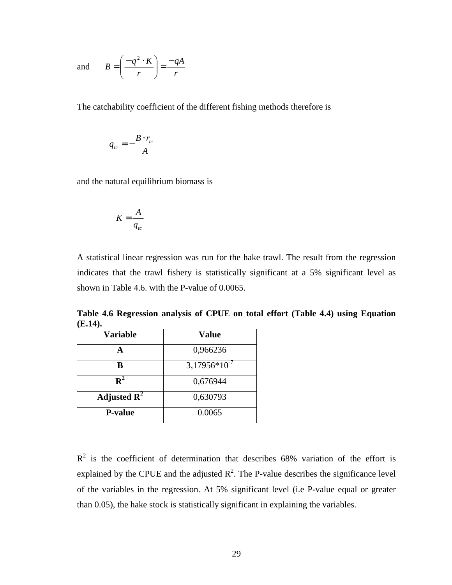and 
$$
B = \left(\frac{-q^2 \cdot K}{r}\right) = \frac{-qA}{r}
$$

The catchability coefficient of the different fishing methods therefore is

$$
q_{tc} = -\frac{B \cdot r_{tc}}{A}
$$

and the natural equilibrium biomass is

$$
K=\frac{A}{q_{tc}}
$$

A statistical linear regression was run for the hake trawl. The result from the regression indicates that the trawl fishery is statistically significant at a 5% significant level as shown in Table 4.6. with the P-value of 0.0065.

**Table 4.6 Regression analysis of CPUE on total effort (Table 4.4) using Equation (E.14).** 

| <b>Variable</b>         | <b>Value</b>      |
|-------------------------|-------------------|
|                         | 0,966236          |
| в                       | $3,17956*10^{-7}$ |
| ${\bf R}^2$             | 0,676944          |
| Adjusted $\mathbf{R}^2$ | 0,630793          |
| <b>P-value</b>          | 0.0065            |

 $R<sup>2</sup>$  is the coefficient of determination that describes 68% variation of the effort is explained by the CPUE and the adjusted  $R^2$ . The P-value describes the significance level of the variables in the regression. At 5% significant level (i.e P-value equal or greater than 0.05), the hake stock is statistically significant in explaining the variables.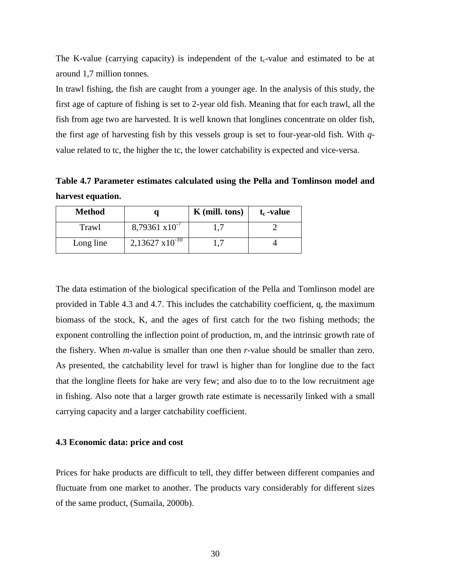<span id="page-35-0"></span>The K-value (carrying capacity) is independent of the  $t_c$ -value and estimated to be at around 1,7 million tonnes.

In trawl fishing, the fish are caught from a younger age. In the analysis of this study, the first age of capture of fishing is set to 2-year old fish. Meaning that for each trawl, all the fish from age two are harvested. It is well known that longlines concentrate on older fish, the first age of harvesting fish by this vessels group is set to four-year-old fish. With *q*value related to tc, the higher the tc, the lower catchability is expected and vice-versa.

**Table 4.7 Parameter estimates calculated using the Pella and Tomlinson model and harvest equation.** 

| <b>Method</b> |                           | $K$ (mill. tons) | $t_c$ -value |
|---------------|---------------------------|------------------|--------------|
| Trawl         | $8,79361 \times 10^{-7}$  |                  |              |
| Long line     | $2,13627 \times 10^{-10}$ |                  |              |

The data estimation of the biological specification of the Pella and Tomlinson model are provided in Table 4.3 and 4.7. This includes the catchability coefficient, q, the maximum biomass of the stock, K, and the ages of first catch for the two fishing methods; the exponent controlling the inflection point of production, m, and the intrinsic growth rate of the fishery. When *m*-value is smaller than one then *r-*value should be smaller than zero. As presented, the catchability level for trawl is higher than for longline due to the fact that the longline fleets for hake are very few; and also due to to the low recruitment age in fishing. Also note that a larger growth rate estimate is necessarily linked with a small carrying capacity and a larger catchability coefficient.

#### **4.3 Economic data: price and cost**

Prices for hake products are difficult to tell, they differ between different companies and fluctuate from one market to another. The products vary considerably for different sizes of the same product, (Sumaila, 2000b).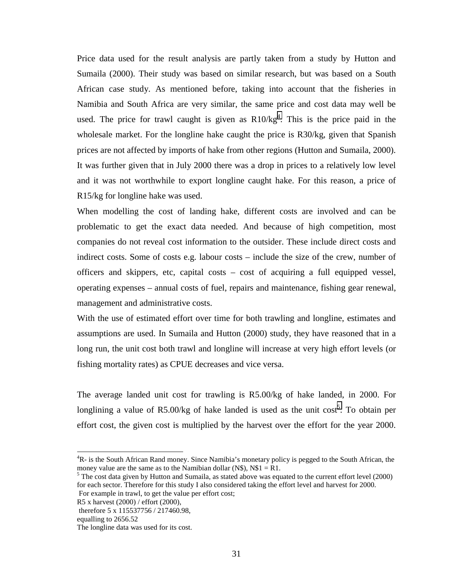Price data used for the result analysis are partly taken from a study by Hutton and Sumaila (2000). Their study was based on similar research, but was based on a South African case study. As mentioned before, taking into account that the fisheries in Namibia and South Africa are very similar, the same price and cost data may well be used. The price for trawl caught is given as  $R10/kg<sup>4</sup>$ . This is the price paid in the wholesale market. For the longline hake caught the price is R30/kg, given that Spanish prices are not affected by imports of hake from other regions (Hutton and Sumaila, 2000). It was further given that in July 2000 there was a drop in prices to a relatively low level and it was not worthwhile to export longline caught hake. For this reason, a price of R15/kg for longline hake was used.

When modelling the cost of landing hake, different costs are involved and can be problematic to get the exact data needed. And because of high competition, most companies do not reveal cost information to the outsider. These include direct costs and indirect costs. Some of costs e.g. labour costs – include the size of the crew, number of officers and skippers, etc, capital costs – cost of acquiring a full equipped vessel, operating expenses – annual costs of fuel, repairs and maintenance, fishing gear renewal, management and administrative costs.

With the use of estimated effort over time for both trawling and longline, estimates and assumptions are used. In Sumaila and Hutton (2000) study, they have reasoned that in a long run, the unit cost both trawl and longline will increase at very high effort levels (or fishing mortality rates) as CPUE decreases and vice versa.

The average landed unit cost for trawling is R5.00/kg of hake landed, in 2000. For longlining a value of R5.00/kg of hake landed is used as the unit cost<sup>5</sup>. To obtain per effort cost, the given cost is multiplied by the harvest over the effort for the year 2000.

R5 x harvest (2000) / effort (2000),

l

<sup>&</sup>lt;sup>4</sup>R- is the South African Rand money. Since Namibia's monetary policy is pegged to the South African, the money value are the same as to the Namibian dollar  $(N\$ ), N\ $1 = R1$ .

 $<sup>5</sup>$  The cost data given by Hutton and Sumaila, as stated above was equated to the current effort level (2000)</sup> for each sector. Therefore for this study I also considered taking the effort level and harvest for 2000. For example in trawl, to get the value per effort cost;

therefore 5 x 115537756 / 217460.98,

equalling to 2656.52

The longline data was used for its cost.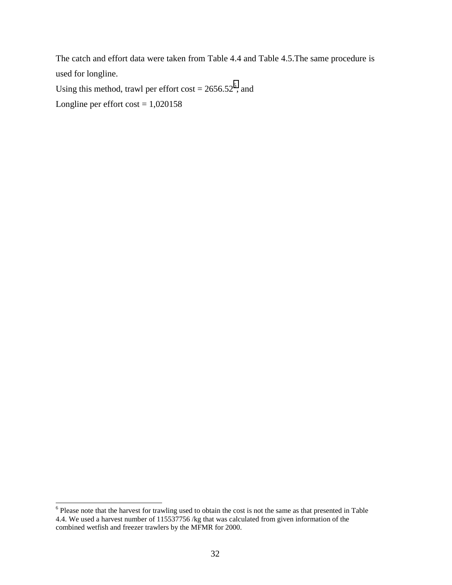The catch and effort data were taken from Table 4.4 and Table 4.5.The same procedure is used for longline.

Using this method, trawl per effort  $cost = 2656.52^6$ , and Longline per effort  $cost = 1,020158$ 

<sup>&</sup>lt;sup>6</sup> Please note that the harvest for trawling used to obtain the cost is not the same as that presented in Table 4.4. We used a harvest number of 115537756 /kg that was calculated from given information of the combined wetfish and freezer trawlers by the MFMR for 2000.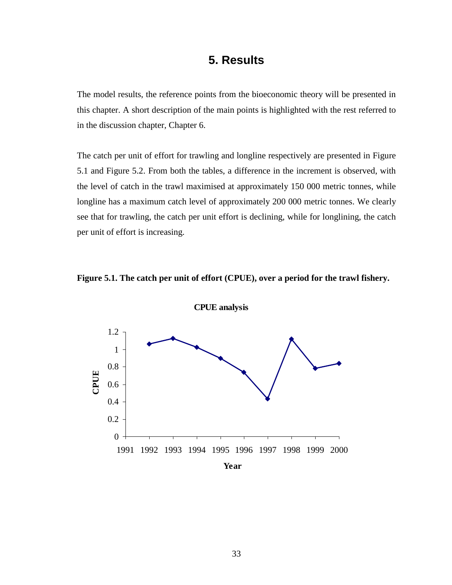### **5. Results**

<span id="page-38-0"></span>The model results, the reference points from the bioeconomic theory will be presented in this chapter. A short description of the main points is highlighted with the rest referred to in the discussion chapter, Chapter 6.

The catch per unit of effort for trawling and longline respectively are presented in Figure 5.1 and Figure 5.2. From both the tables, a difference in the increment is observed, with the level of catch in the trawl maximised at approximately 150 000 metric tonnes, while longline has a maximum catch level of approximately 200 000 metric tonnes. We clearly see that for trawling, the catch per unit effort is declining, while for longlining, the catch per unit of effort is increasing.



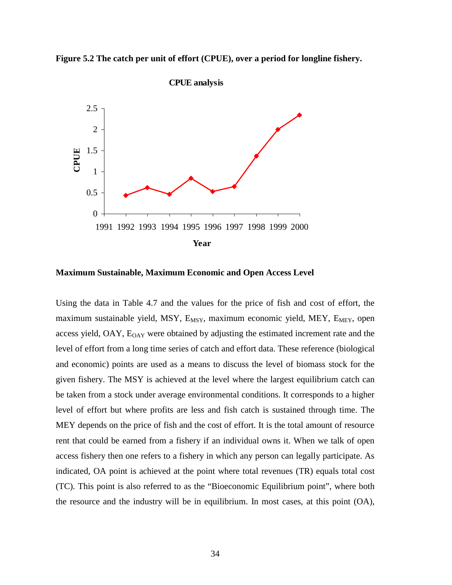<span id="page-39-0"></span>



**Maximum Sustainable, Maximum Economic and Open Access Level** 

Using the data in Table 4.7 and the values for the price of fish and cost of effort, the maximum sustainable yield, MSY,  $E_{MSY}$ , maximum economic yield, MEY,  $E_{MEY}$ , open access yield,  $OAY$ ,  $E<sub>OAY</sub>$  were obtained by adjusting the estimated increment rate and the level of effort from a long time series of catch and effort data. These reference (biological and economic) points are used as a means to discuss the level of biomass stock for the given fishery. The MSY is achieved at the level where the largest equilibrium catch can be taken from a stock under average environmental conditions. It corresponds to a higher level of effort but where profits are less and fish catch is sustained through time. The MEY depends on the price of fish and the cost of effort. It is the total amount of resource rent that could be earned from a fishery if an individual owns it. When we talk of open access fishery then one refers to a fishery in which any person can legally participate. As indicated, OA point is achieved at the point where total revenues (TR) equals total cost (TC). This point is also referred to as the "Bioeconomic Equilibrium point", where both the resource and the industry will be in equilibrium. In most cases, at this point (OA),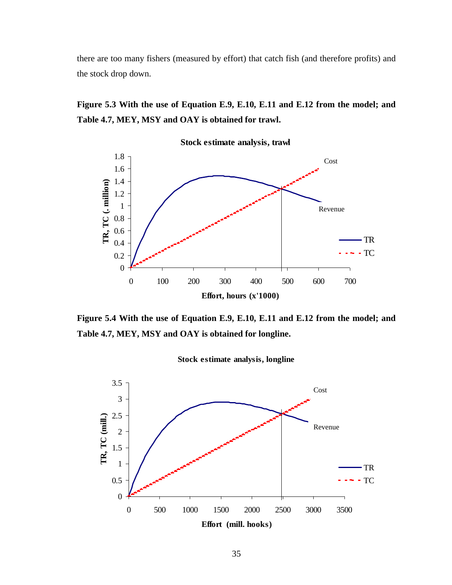there are too many fishers (measured by effort) that catch fish (and therefore profits) and the stock drop down.





**Figure 5.4 With the use of Equation E.9, E.10, E.11 and E.12 from the model; and Table 4.7, MEY, MSY and OAY is obtained for longline.** 



**Stock estimate analysis, longline**

35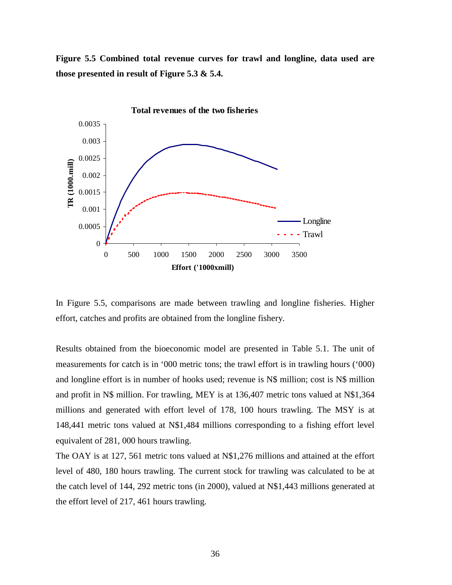**Figure 5.5 Combined total revenue curves for trawl and longline, data used are those presented in result of Figure 5.3 & 5.4.** 



In Figure 5.5, comparisons are made between trawling and longline fisheries. Higher effort, catches and profits are obtained from the longline fishery.

Results obtained from the bioeconomic model are presented in Table 5.1. The unit of measurements for catch is in '000 metric tons; the trawl effort is in trawling hours ('000) and longline effort is in number of hooks used; revenue is N\$ million; cost is N\$ million and profit in N\$ million. For trawling, MEY is at 136,407 metric tons valued at N\$1,364 millions and generated with effort level of 178, 100 hours trawling. The MSY is at 148,441 metric tons valued at N\$1,484 millions corresponding to a fishing effort level equivalent of 281, 000 hours trawling.

The OAY is at 127, 561 metric tons valued at N\$1,276 millions and attained at the effort level of 480, 180 hours trawling. The current stock for trawling was calculated to be at the catch level of 144, 292 metric tons (in 2000), valued at N\$1,443 millions generated at the effort level of 217, 461 hours trawling.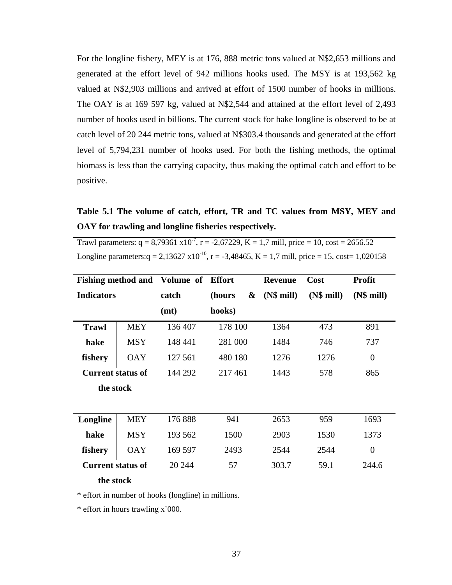For the longline fishery, MEY is at 176, 888 metric tons valued at N\$2,653 millions and generated at the effort level of 942 millions hooks used. The MSY is at 193,562 kg valued at N\$2,903 millions and arrived at effort of 1500 number of hooks in millions. The OAY is at 169 597 kg, valued at N\$2,544 and attained at the effort level of 2,493 number of hooks used in billions. The current stock for hake longline is observed to be at catch level of 20 244 metric tons, valued at N\$303.4 thousands and generated at the effort level of 5,794,231 number of hooks used. For both the fishing methods, the optimal biomass is less than the carrying capacity, thus making the optimal catch and effort to be positive.

**Table 5.1 The volume of catch, effort, TR and TC values from MSY, MEY and OAY for trawling and longline fisheries respectively.** 

Trawl parameters:  $q = 8,79361 \times 10^{-7}$ ,  $r = -2,67229$ ,  $K = 1,7$  mill, price = 10, cost = 2656.52 Longline parameters: $q = 2,13627 \times 10^{-10}$ ,  $r = -3,48465$ ,  $K = 1,7$  mill, price = 15, cost= 1,020158

| Fishing method and Volume of Effort |            |         |             | <b>Revenue</b> | Cost      | <b>Profit</b>  |
|-------------------------------------|------------|---------|-------------|----------------|-----------|----------------|
| <b>Indicators</b>                   |            | catch   | &<br>(hours | $(N\$ mill)    | (N\$ mil) | (N\$ mil)      |
|                                     |            | (mt)    | hooks)      |                |           |                |
| <b>Trawl</b>                        | <b>MEY</b> | 136 407 | 178 100     | 1364           | 473       | 891            |
| hake                                | <b>MSY</b> | 148 441 | 281 000     | 1484           | 746       | 737            |
| fishery                             | <b>OAY</b> | 127 561 | 480 180     | 1276           | 1276      | $\overline{0}$ |
| <b>Current status of</b>            |            | 144 292 | 217461      | 1443           | 578       | 865            |
| the stock                           |            |         |             |                |           |                |
|                                     |            |         |             |                |           |                |
| Longline                            | <b>MEY</b> | 176888  | 941         | 2653           | 959       | 1693           |
| hake                                | <b>MSY</b> | 193 562 | 1500        | 2903           | 1530      | 1373           |
| fishery                             | <b>OAY</b> | 169 597 | 2493        | 2544           | 2544      | $\overline{0}$ |
| <b>Current status of</b>            |            | 20 244  | 57          | 303.7          | 59.1      | 244.6          |
| the stock                           |            |         |             |                |           |                |

\* effort in number of hooks (longline) in millions.

\* effort in hours trawling x`000.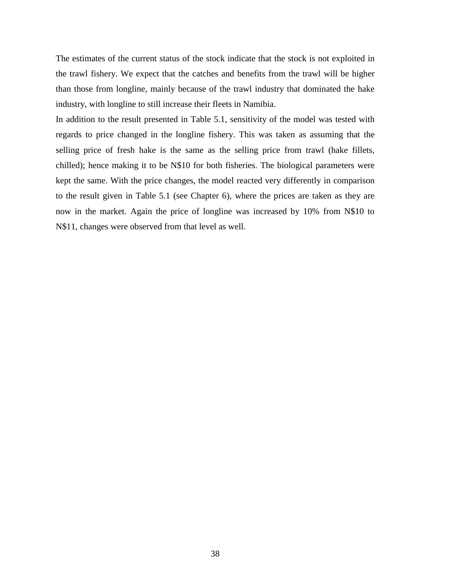The estimates of the current status of the stock indicate that the stock is not exploited in the trawl fishery. We expect that the catches and benefits from the trawl will be higher than those from longline, mainly because of the trawl industry that dominated the hake industry, with longline to still increase their fleets in Namibia.

In addition to the result presented in Table 5.1, sensitivity of the model was tested with regards to price changed in the longline fishery. This was taken as assuming that the selling price of fresh hake is the same as the selling price from trawl (hake fillets, chilled); hence making it to be N\$10 for both fisheries. The biological parameters were kept the same. With the price changes, the model reacted very differently in comparison to the result given in Table 5.1 (see Chapter 6), where the prices are taken as they are now in the market. Again the price of longline was increased by 10% from N\$10 to N\$11, changes were observed from that level as well.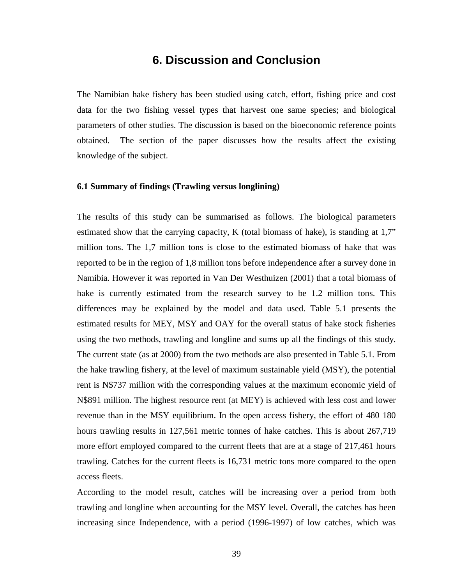### **6. Discussion and Conclusion**

<span id="page-44-0"></span>The Namibian hake fishery has been studied using catch, effort, fishing price and cost data for the two fishing vessel types that harvest one same species; and biological parameters of other studies. The discussion is based on the bioeconomic reference points obtained. The section of the paper discusses how the results affect the existing knowledge of the subject.

#### **6.1 Summary of findings (Trawling versus longlining)**

The results of this study can be summarised as follows. The biological parameters estimated show that the carrying capacity, K (total biomass of hake), is standing at 1,7" million tons. The 1,7 million tons is close to the estimated biomass of hake that was reported to be in the region of 1,8 million tons before independence after a survey done in Namibia. However it was reported in Van Der Westhuizen (2001) that a total biomass of hake is currently estimated from the research survey to be 1.2 million tons. This differences may be explained by the model and data used. Table 5.1 presents the estimated results for MEY, MSY and OAY for the overall status of hake stock fisheries using the two methods, trawling and longline and sums up all the findings of this study. The current state (as at 2000) from the two methods are also presented in Table 5.1. From the hake trawling fishery, at the level of maximum sustainable yield (MSY), the potential rent is N\$737 million with the corresponding values at the maximum economic yield of N\$891 million. The highest resource rent (at MEY) is achieved with less cost and lower revenue than in the MSY equilibrium. In the open access fishery, the effort of 480 180 hours trawling results in 127,561 metric tonnes of hake catches. This is about 267,719 more effort employed compared to the current fleets that are at a stage of 217,461 hours trawling. Catches for the current fleets is 16,731 metric tons more compared to the open access fleets.

According to the model result, catches will be increasing over a period from both trawling and longline when accounting for the MSY level. Overall, the catches has been increasing since Independence, with a period (1996-1997) of low catches, which was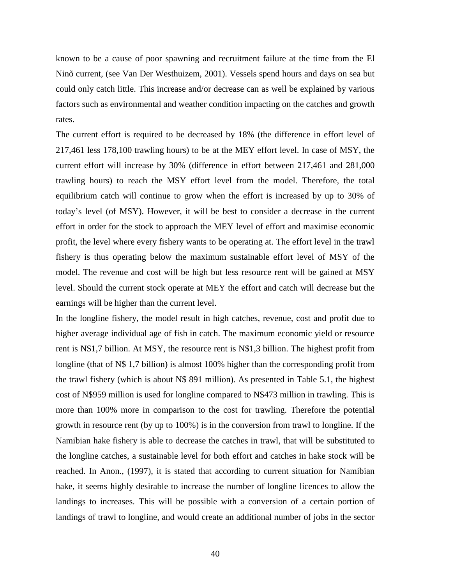known to be a cause of poor spawning and recruitment failure at the time from the El Ninõ current, (see Van Der Westhuizem, 2001). Vessels spend hours and days on sea but could only catch little. This increase and/or decrease can as well be explained by various factors such as environmental and weather condition impacting on the catches and growth rates.

The current effort is required to be decreased by 18% (the difference in effort level of 217,461 less 178,100 trawling hours) to be at the MEY effort level. In case of MSY, the current effort will increase by 30% (difference in effort between 217,461 and 281,000 trawling hours) to reach the MSY effort level from the model. Therefore, the total equilibrium catch will continue to grow when the effort is increased by up to 30% of today's level (of MSY). However, it will be best to consider a decrease in the current effort in order for the stock to approach the MEY level of effort and maximise economic profit, the level where every fishery wants to be operating at. The effort level in the trawl fishery is thus operating below the maximum sustainable effort level of MSY of the model. The revenue and cost will be high but less resource rent will be gained at MSY level. Should the current stock operate at MEY the effort and catch will decrease but the earnings will be higher than the current level.

In the longline fishery, the model result in high catches, revenue, cost and profit due to higher average individual age of fish in catch. The maximum economic yield or resource rent is N\$1,7 billion. At MSY, the resource rent is N\$1,3 billion. The highest profit from longline (that of N\$ 1,7 billion) is almost 100% higher than the corresponding profit from the trawl fishery (which is about N\$ 891 million). As presented in Table 5.1, the highest cost of N\$959 million is used for longline compared to N\$473 million in trawling. This is more than 100% more in comparison to the cost for trawling. Therefore the potential growth in resource rent (by up to 100%) is in the conversion from trawl to longline. If the Namibian hake fishery is able to decrease the catches in trawl, that will be substituted to the longline catches, a sustainable level for both effort and catches in hake stock will be reached. In Anon., (1997), it is stated that according to current situation for Namibian hake, it seems highly desirable to increase the number of longline licences to allow the landings to increases. This will be possible with a conversion of a certain portion of landings of trawl to longline, and would create an additional number of jobs in the sector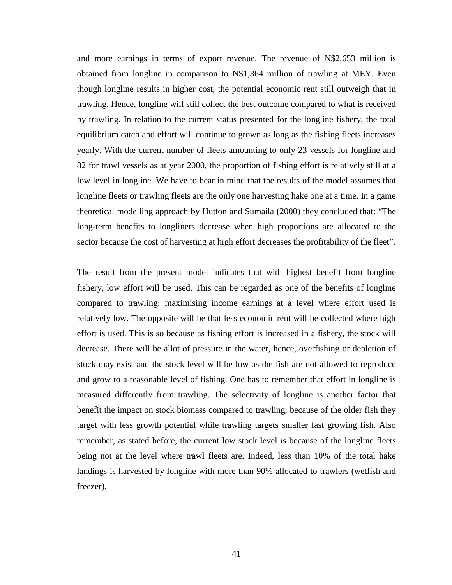and more earnings in terms of export revenue. The revenue of N\$2,653 million is obtained from longline in comparison to N\$1,364 million of trawling at MEY. Even though longline results in higher cost, the potential economic rent still outweigh that in trawling. Hence, longline will still collect the best outcome compared to what is received by trawling. In relation to the current status presented for the longline fishery, the total equilibrium catch and effort will continue to grown as long as the fishing fleets increases yearly. With the current number of fleets amounting to only 23 vessels for longline and 82 for trawl vessels as at year 2000, the proportion of fishing effort is relatively still at a low level in longline. We have to bear in mind that the results of the model assumes that longline fleets or trawling fleets are the only one harvesting hake one at a time. In a game theoretical modelling approach by Hutton and Sumaila (2000) they concluded that: "The long-term benefits to longliners decrease when high proportions are allocated to the sector because the cost of harvesting at high effort decreases the profitability of the fleet".

The result from the present model indicates that with highest benefit from longline fishery, low effort will be used. This can be regarded as one of the benefits of longline compared to trawling; maximising income earnings at a level where effort used is relatively low. The opposite will be that less economic rent will be collected where high effort is used. This is so because as fishing effort is increased in a fishery, the stock will decrease. There will be allot of pressure in the water, hence, overfishing or depletion of stock may exist and the stock level will be low as the fish are not allowed to reproduce and grow to a reasonable level of fishing. One has to remember that effort in longline is measured differently from trawling. The selectivity of longline is another factor that benefit the impact on stock biomass compared to trawling, because of the older fish they target with less growth potential while trawling targets smaller fast growing fish. Also remember, as stated before, the current low stock level is because of the longline fleets being not at the level where trawl fleets are. Indeed, less than 10% of the total hake landings is harvested by longline with more than 90% allocated to trawlers (wetfish and freezer).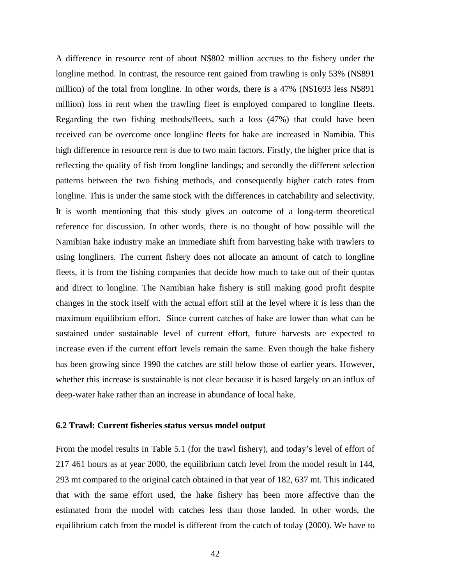<span id="page-47-0"></span>A difference in resource rent of about N\$802 million accrues to the fishery under the longline method. In contrast, the resource rent gained from trawling is only 53% (N\$891 million) of the total from longline. In other words, there is a 47% (N\$1693 less N\$891 million) loss in rent when the trawling fleet is employed compared to longline fleets. Regarding the two fishing methods/fleets, such a loss (47%) that could have been received can be overcome once longline fleets for hake are increased in Namibia. This high difference in resource rent is due to two main factors. Firstly, the higher price that is reflecting the quality of fish from longline landings; and secondly the different selection patterns between the two fishing methods, and consequently higher catch rates from longline. This is under the same stock with the differences in catchability and selectivity. It is worth mentioning that this study gives an outcome of a long-term theoretical reference for discussion. In other words, there is no thought of how possible will the Namibian hake industry make an immediate shift from harvesting hake with trawlers to using longliners. The current fishery does not allocate an amount of catch to longline fleets, it is from the fishing companies that decide how much to take out of their quotas and direct to longline. The Namibian hake fishery is still making good profit despite changes in the stock itself with the actual effort still at the level where it is less than the maximum equilibrium effort. Since current catches of hake are lower than what can be sustained under sustainable level of current effort, future harvests are expected to increase even if the current effort levels remain the same. Even though the hake fishery has been growing since 1990 the catches are still below those of earlier years. However, whether this increase is sustainable is not clear because it is based largely on an influx of deep-water hake rather than an increase in abundance of local hake.

#### **6.2 Trawl: Current fisheries status versus model output**

From the model results in Table 5.1 (for the trawl fishery), and today's level of effort of 217 461 hours as at year 2000, the equilibrium catch level from the model result in 144, 293 mt compared to the original catch obtained in that year of 182, 637 mt. This indicated that with the same effort used, the hake fishery has been more affective than the estimated from the model with catches less than those landed. In other words, the equilibrium catch from the model is different from the catch of today (2000). We have to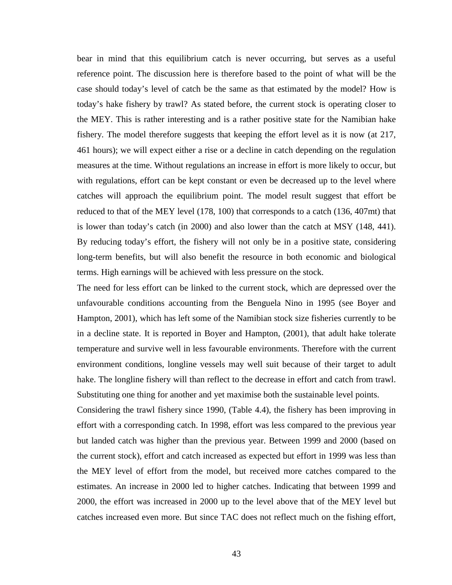bear in mind that this equilibrium catch is never occurring, but serves as a useful reference point. The discussion here is therefore based to the point of what will be the case should today's level of catch be the same as that estimated by the model? How is today's hake fishery by trawl? As stated before, the current stock is operating closer to the MEY. This is rather interesting and is a rather positive state for the Namibian hake fishery. The model therefore suggests that keeping the effort level as it is now (at 217, 461 hours); we will expect either a rise or a decline in catch depending on the regulation measures at the time. Without regulations an increase in effort is more likely to occur, but with regulations, effort can be kept constant or even be decreased up to the level where catches will approach the equilibrium point. The model result suggest that effort be reduced to that of the MEY level (178, 100) that corresponds to a catch (136, 407mt) that is lower than today's catch (in 2000) and also lower than the catch at MSY (148, 441). By reducing today's effort, the fishery will not only be in a positive state, considering long-term benefits, but will also benefit the resource in both economic and biological terms. High earnings will be achieved with less pressure on the stock.

The need for less effort can be linked to the current stock, which are depressed over the unfavourable conditions accounting from the Benguela Nino in 1995 (see Boyer and Hampton, 2001), which has left some of the Namibian stock size fisheries currently to be in a decline state. It is reported in Boyer and Hampton, (2001), that adult hake tolerate temperature and survive well in less favourable environments. Therefore with the current environment conditions, longline vessels may well suit because of their target to adult hake. The longline fishery will than reflect to the decrease in effort and catch from trawl. Substituting one thing for another and yet maximise both the sustainable level points.

Considering the trawl fishery since 1990, (Table 4.4), the fishery has been improving in effort with a corresponding catch. In 1998, effort was less compared to the previous year but landed catch was higher than the previous year. Between 1999 and 2000 (based on the current stock), effort and catch increased as expected but effort in 1999 was less than the MEY level of effort from the model, but received more catches compared to the estimates. An increase in 2000 led to higher catches. Indicating that between 1999 and 2000, the effort was increased in 2000 up to the level above that of the MEY level but catches increased even more. But since TAC does not reflect much on the fishing effort,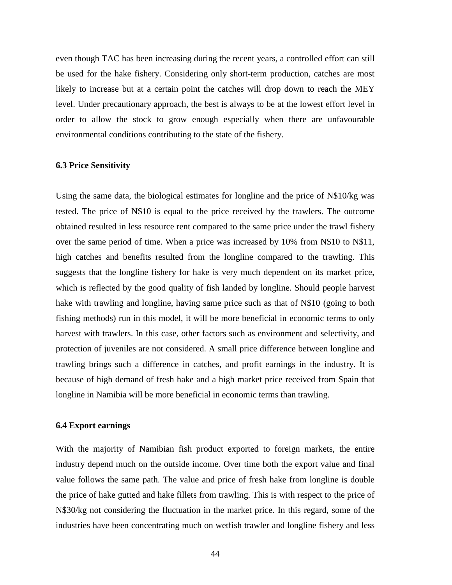<span id="page-49-0"></span>even though TAC has been increasing during the recent years, a controlled effort can still be used for the hake fishery. Considering only short-term production, catches are most likely to increase but at a certain point the catches will drop down to reach the MEY level. Under precautionary approach, the best is always to be at the lowest effort level in order to allow the stock to grow enough especially when there are unfavourable environmental conditions contributing to the state of the fishery.

#### **6.3 Price Sensitivity**

Using the same data, the biological estimates for longline and the price of N\$10/kg was tested. The price of N\$10 is equal to the price received by the trawlers. The outcome obtained resulted in less resource rent compared to the same price under the trawl fishery over the same period of time. When a price was increased by 10% from N\$10 to N\$11, high catches and benefits resulted from the longline compared to the trawling. This suggests that the longline fishery for hake is very much dependent on its market price, which is reflected by the good quality of fish landed by longline. Should people harvest hake with trawling and longline, having same price such as that of N\$10 (going to both fishing methods) run in this model, it will be more beneficial in economic terms to only harvest with trawlers. In this case, other factors such as environment and selectivity, and protection of juveniles are not considered. A small price difference between longline and trawling brings such a difference in catches, and profit earnings in the industry. It is because of high demand of fresh hake and a high market price received from Spain that longline in Namibia will be more beneficial in economic terms than trawling.

#### **6.4 Export earnings**

With the majority of Namibian fish product exported to foreign markets, the entire industry depend much on the outside income. Over time both the export value and final value follows the same path. The value and price of fresh hake from longline is double the price of hake gutted and hake fillets from trawling. This is with respect to the price of N\$30/kg not considering the fluctuation in the market price. In this regard, some of the industries have been concentrating much on wetfish trawler and longline fishery and less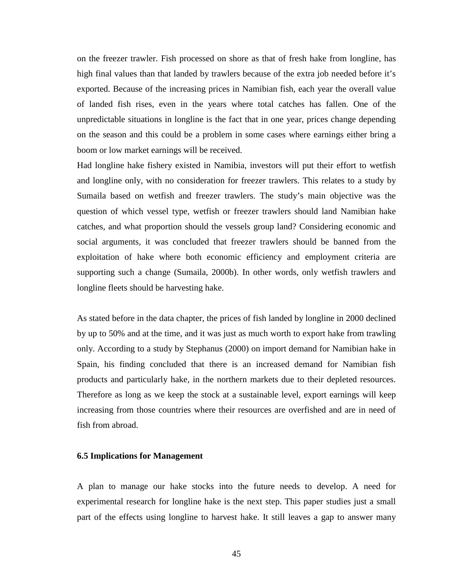<span id="page-50-0"></span>on the freezer trawler. Fish processed on shore as that of fresh hake from longline, has high final values than that landed by trawlers because of the extra job needed before it's exported. Because of the increasing prices in Namibian fish, each year the overall value of landed fish rises, even in the years where total catches has fallen. One of the unpredictable situations in longline is the fact that in one year, prices change depending on the season and this could be a problem in some cases where earnings either bring a boom or low market earnings will be received.

Had longline hake fishery existed in Namibia, investors will put their effort to wetfish and longline only, with no consideration for freezer trawlers. This relates to a study by Sumaila based on wetfish and freezer trawlers. The study's main objective was the question of which vessel type, wetfish or freezer trawlers should land Namibian hake catches, and what proportion should the vessels group land? Considering economic and social arguments, it was concluded that freezer trawlers should be banned from the exploitation of hake where both economic efficiency and employment criteria are supporting such a change (Sumaila, 2000b). In other words, only wetfish trawlers and longline fleets should be harvesting hake.

As stated before in the data chapter, the prices of fish landed by longline in 2000 declined by up to 50% and at the time, and it was just as much worth to export hake from trawling only. According to a study by Stephanus (2000) on import demand for Namibian hake in Spain, his finding concluded that there is an increased demand for Namibian fish products and particularly hake, in the northern markets due to their depleted resources. Therefore as long as we keep the stock at a sustainable level, export earnings will keep increasing from those countries where their resources are overfished and are in need of fish from abroad.

#### **6.5 Implications for Management**

A plan to manage our hake stocks into the future needs to develop. A need for experimental research for longline hake is the next step. This paper studies just a small part of the effects using longline to harvest hake. It still leaves a gap to answer many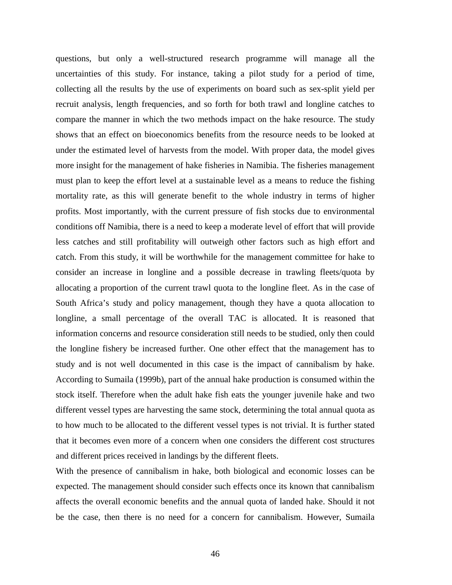questions, but only a well-structured research programme will manage all the uncertainties of this study. For instance, taking a pilot study for a period of time, collecting all the results by the use of experiments on board such as sex-split yield per recruit analysis, length frequencies, and so forth for both trawl and longline catches to compare the manner in which the two methods impact on the hake resource. The study shows that an effect on bioeconomics benefits from the resource needs to be looked at under the estimated level of harvests from the model. With proper data, the model gives more insight for the management of hake fisheries in Namibia. The fisheries management must plan to keep the effort level at a sustainable level as a means to reduce the fishing mortality rate, as this will generate benefit to the whole industry in terms of higher profits. Most importantly, with the current pressure of fish stocks due to environmental conditions off Namibia, there is a need to keep a moderate level of effort that will provide less catches and still profitability will outweigh other factors such as high effort and catch. From this study, it will be worthwhile for the management committee for hake to consider an increase in longline and a possible decrease in trawling fleets/quota by allocating a proportion of the current trawl quota to the longline fleet. As in the case of South Africa's study and policy management, though they have a quota allocation to longline, a small percentage of the overall TAC is allocated. It is reasoned that information concerns and resource consideration still needs to be studied, only then could the longline fishery be increased further. One other effect that the management has to study and is not well documented in this case is the impact of cannibalism by hake. According to Sumaila (1999b), part of the annual hake production is consumed within the stock itself. Therefore when the adult hake fish eats the younger juvenile hake and two different vessel types are harvesting the same stock, determining the total annual quota as to how much to be allocated to the different vessel types is not trivial. It is further stated that it becomes even more of a concern when one considers the different cost structures and different prices received in landings by the different fleets.

With the presence of cannibalism in hake, both biological and economic losses can be expected. The management should consider such effects once its known that cannibalism affects the overall economic benefits and the annual quota of landed hake. Should it not be the case, then there is no need for a concern for cannibalism. However, Sumaila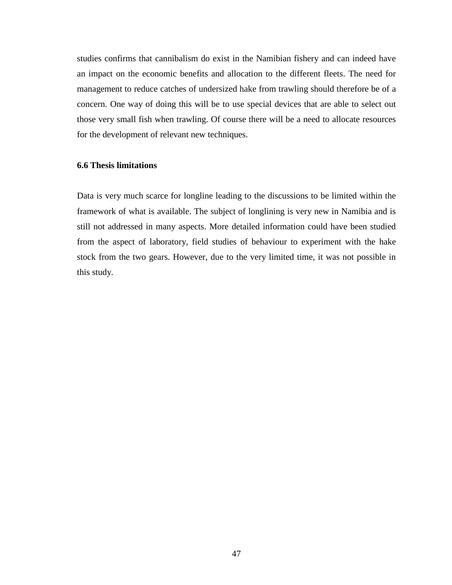<span id="page-52-0"></span>studies confirms that cannibalism do exist in the Namibian fishery and can indeed have an impact on the economic benefits and allocation to the different fleets. The need for management to reduce catches of undersized hake from trawling should therefore be of a concern. One way of doing this will be to use special devices that are able to select out those very small fish when trawling. Of course there will be a need to allocate resources for the development of relevant new techniques.

#### **6.6 Thesis limitations**

Data is very much scarce for longline leading to the discussions to be limited within the framework of what is available. The subject of longlining is very new in Namibia and is still not addressed in many aspects. More detailed information could have been studied from the aspect of laboratory, field studies of behaviour to experiment with the hake stock from the two gears. However, due to the very limited time, it was not possible in this study.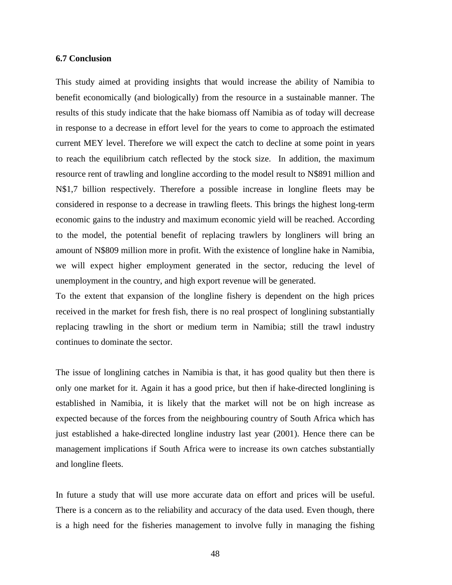#### <span id="page-53-0"></span>**6.7 Conclusion**

This study aimed at providing insights that would increase the ability of Namibia to benefit economically (and biologically) from the resource in a sustainable manner. The results of this study indicate that the hake biomass off Namibia as of today will decrease in response to a decrease in effort level for the years to come to approach the estimated current MEY level. Therefore we will expect the catch to decline at some point in years to reach the equilibrium catch reflected by the stock size. In addition, the maximum resource rent of trawling and longline according to the model result to N\$891 million and N\$1,7 billion respectively. Therefore a possible increase in longline fleets may be considered in response to a decrease in trawling fleets. This brings the highest long-term economic gains to the industry and maximum economic yield will be reached. According to the model, the potential benefit of replacing trawlers by longliners will bring an amount of N\$809 million more in profit. With the existence of longline hake in Namibia, we will expect higher employment generated in the sector, reducing the level of unemployment in the country, and high export revenue will be generated.

To the extent that expansion of the longline fishery is dependent on the high prices received in the market for fresh fish, there is no real prospect of longlining substantially replacing trawling in the short or medium term in Namibia; still the trawl industry continues to dominate the sector.

The issue of longlining catches in Namibia is that, it has good quality but then there is only one market for it. Again it has a good price, but then if hake-directed longlining is established in Namibia, it is likely that the market will not be on high increase as expected because of the forces from the neighbouring country of South Africa which has just established a hake-directed longline industry last year (2001). Hence there can be management implications if South Africa were to increase its own catches substantially and longline fleets.

In future a study that will use more accurate data on effort and prices will be useful. There is a concern as to the reliability and accuracy of the data used. Even though, there is a high need for the fisheries management to involve fully in managing the fishing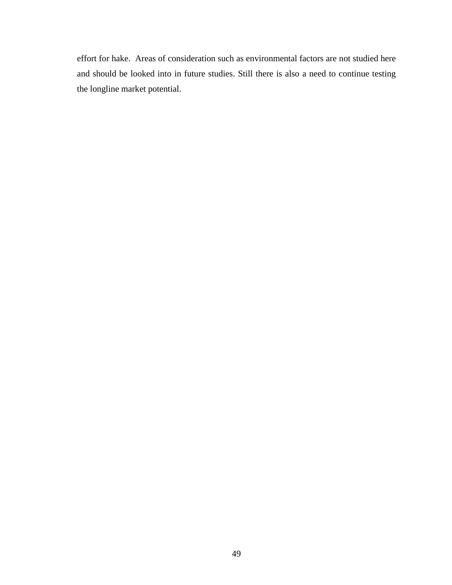effort for hake. Areas of consideration such as environmental factors are not studied here and should be looked into in future studies. Still there is also a need to continue testing the longline market potential.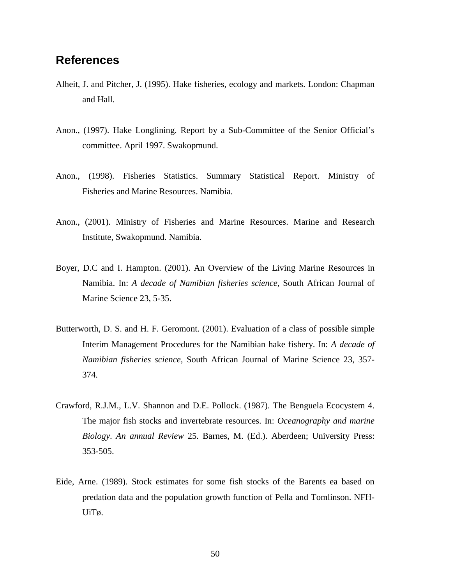### <span id="page-55-0"></span>**References**

- Alheit, J. and Pitcher, J. (1995). Hake fisheries, ecology and markets. London: Chapman and Hall.
- Anon., (1997). Hake Longlining. Report by a Sub-Committee of the Senior Official's committee. April 1997. Swakopmund.
- Anon., (1998). Fisheries Statistics. Summary Statistical Report. Ministry of Fisheries and Marine Resources. Namibia.
- Anon., (2001). Ministry of Fisheries and Marine Resources. Marine and Research Institute, Swakopmund. Namibia.
- Boyer, D.C and I. Hampton. (2001). An Overview of the Living Marine Resources in Namibia. In: *A decade of Namibian fisheries science*, South African Journal of Marine Science 23, 5-35.
- Butterworth, D. S. and H. F. Geromont. (2001). Evaluation of a class of possible simple Interim Management Procedures for the Namibian hake fishery. In: *A decade of Namibian fisheries science*, South African Journal of Marine Science 23, 357- 374.
- Crawford, R.J.M., L.V. Shannon and D.E. Pollock. (1987). The Benguela Ecocystem 4. The major fish stocks and invertebrate resources. In: *Oceanography and marine Biology*. *An annual Review* 25. Barnes, M. (Ed.). Aberdeen; University Press: 353-505.
- Eide, Arne. (1989). Stock estimates for some fish stocks of the Barents ea based on predation data and the population growth function of Pella and Tomlinson. NFH- UiTø.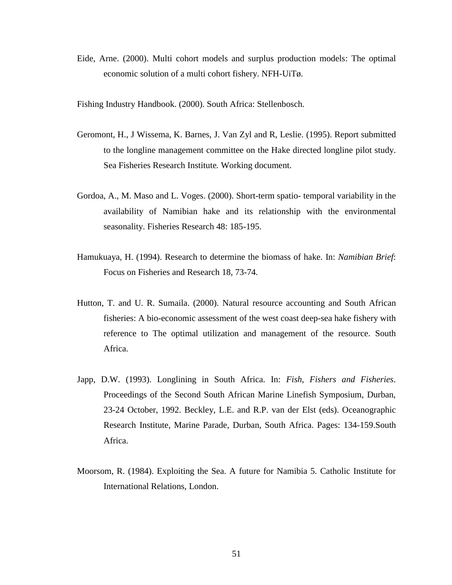Eide, Arne. (2000). Multi cohort models and surplus production models: The optimal economic solution of a multi cohort fishery. NFH-UiTø.

Fishing Industry Handbook. (2000). South Africa: Stellenbosch.

- Geromont, H., J Wissema, K. Barnes, J. Van Zyl and R, Leslie. (1995). Report submitted to the longline management committee on the Hake directed longline pilot study. Sea Fisheries Research Institute*.* Working document.
- Gordoa, A., M. Maso and L. Voges. (2000). Short-term spatio- temporal variability in the availability of Namibian hake and its relationship with the environmental seasonality. Fisheries Research 48: 185-195.
- Hamukuaya, H. (1994). Research to determine the biomass of hake. In: *Namibian Brief*: Focus on Fisheries and Research 18, 73-74.
- Hutton, T. and U. R. Sumaila. (2000). Natural resource accounting and South African fisheries: A bio-economic assessment of the west coast deep-sea hake fishery with reference to The optimal utilization and management of the resource. South Africa.
- Japp, D.W. (1993). Longlining in South Africa. In: *Fish, Fishers and Fisheries*. Proceedings of the Second South African Marine Linefish Symposium, Durban, 23-24 October, 1992. Beckley, L.E. and R.P. van der Elst (eds). Oceanographic Research Institute, Marine Parade, Durban, South Africa. Pages: 134-159.South Africa.
- Moorsom, R. (1984). Exploiting the Sea. A future for Namibia 5. Catholic Institute for International Relations, London.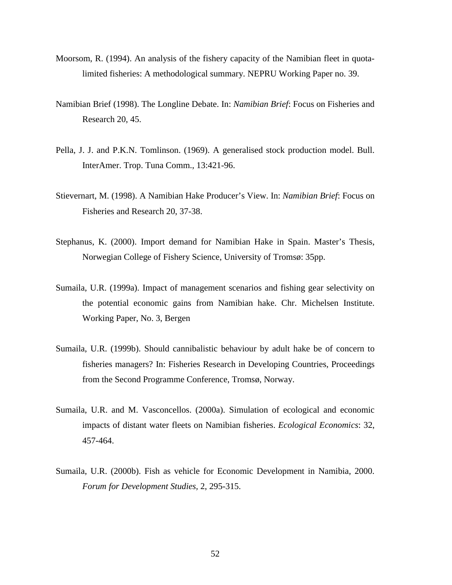- Moorsom, R. (1994). An analysis of the fishery capacity of the Namibian fleet in quota limited fisheries: A methodological summary. NEPRU Working Paper no. 39.
- Namibian Brief (1998). The Longline Debate. In: *Namibian Brief*: Focus on Fisheries and Research 20, 45.
- Pella, J. J. and P.K.N. Tomlinson. (1969). A generalised stock production model. Bull. InterAmer. Trop. Tuna Comm., 13:421-96.
- Stievernart, M. (1998). A Namibian Hake Producer's View. In: *Namibian Brief*: Focus on Fisheries and Research 20, 37-38.
- Stephanus, K. (2000). Import demand for Namibian Hake in Spain. Master's Thesis, Norwegian College of Fishery Science, University of Tromsø: 35pp.
- Sumaila, U.R. (1999a). Impact of management scenarios and fishing gear selectivity on the potential economic gains from Namibian hake. Chr. Michelsen Institute. Working Paper, No. 3, Bergen
- Sumaila, U.R. (1999b). Should cannibalistic behaviour by adult hake be of concern to fisheries managers? In: Fisheries Research in Developing Countries, Proceedings from the Second Programme Conference, Tromsø, Norway.
- Sumaila, U.R. and M. Vasconcellos. (2000a). Simulation of ecological and economic impacts of distant water fleets on Namibian fisheries. *Ecological Economics*: 32, 457-464.
- Sumaila, U.R. (2000b). Fish as vehicle for Economic Development in Namibia, 2000. *Forum for Development Studies,* 2, 295-315.